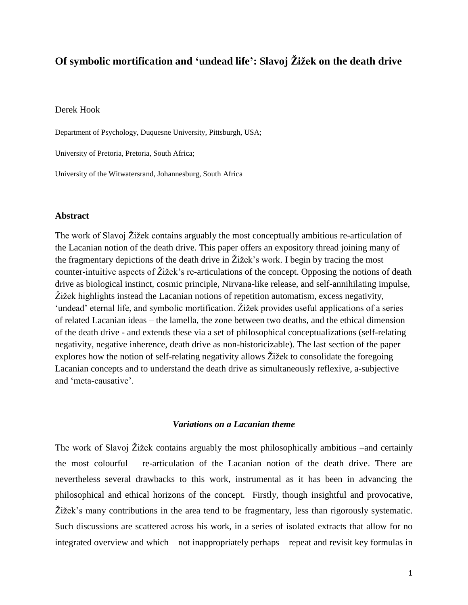# **Of symbolic mortification and 'undead life': Slavoj Žižek on the death drive**

# Derek Hook

Department of Psychology, Duquesne University, Pittsburgh, USA;

University of Pretoria, Pretoria, South Africa;

University of the Witwatersrand, Johannesburg, South Africa

# **Abstract**

The work of Slavoj Žižek contains arguably the most conceptually ambitious re-articulation of the Lacanian notion of the death drive. This paper offers an expository thread joining many of the fragmentary depictions of the death drive in Žižek"s work. I begin by tracing the most counter-intuitive aspects of Žižek"s re-articulations of the concept. Opposing the notions of death drive as biological instinct, cosmic principle, Nirvana-like release, and self-annihilating impulse, Žižek highlights instead the Lacanian notions of repetition automatism, excess negativity, 'undead' eternal life, and symbolic mortification. Žižek provides useful applications of a series of related Lacanian ideas – the lamella, the zone between two deaths, and the ethical dimension of the death drive - and extends these via a set of philosophical conceptualizations (self-relating negativity, negative inherence, death drive as non-historicizable). The last section of the paper explores how the notion of self-relating negativity allows Žižek to consolidate the foregoing Lacanian concepts and to understand the death drive as simultaneously reflexive, a-subjective and "meta-causative".

# *Variations on a Lacanian theme*

The work of Slavoj Žižek contains arguably the most philosophically ambitious –and certainly the most colourful – re-articulation of the Lacanian notion of the death drive. There are nevertheless several drawbacks to this work, instrumental as it has been in advancing the philosophical and ethical horizons of the concept. Firstly, though insightful and provocative, Žižek"s many contributions in the area tend to be fragmentary, less than rigorously systematic. Such discussions are scattered across his work, in a series of isolated extracts that allow for no integrated overview and which – not inappropriately perhaps – repeat and revisit key formulas in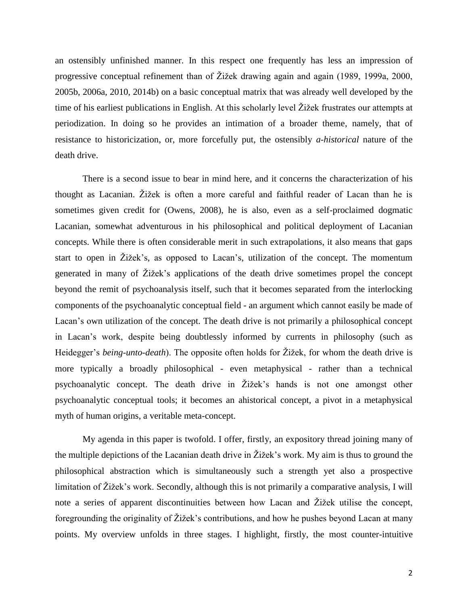an ostensibly unfinished manner. In this respect one frequently has less an impression of progressive conceptual refinement than of Žižek drawing again and again (1989, 1999a, 2000, 2005b, 2006a, 2010, 2014b) on a basic conceptual matrix that was already well developed by the time of his earliest publications in English. At this scholarly level Žižek frustrates our attempts at periodization. In doing so he provides an intimation of a broader theme, namely, that of resistance to historicization, or, more forcefully put, the ostensibly *a-historical* nature of the death drive.

There is a second issue to bear in mind here, and it concerns the characterization of his thought as Lacanian. Žižek is often a more careful and faithful reader of Lacan than he is sometimes given credit for (Owens, 2008), he is also, even as a self-proclaimed dogmatic Lacanian, somewhat adventurous in his philosophical and political deployment of Lacanian concepts. While there is often considerable merit in such extrapolations, it also means that gaps start to open in Žižek"s, as opposed to Lacan"s, utilization of the concept. The momentum generated in many of Žižek"s applications of the death drive sometimes propel the concept beyond the remit of psychoanalysis itself, such that it becomes separated from the interlocking components of the psychoanalytic conceptual field - an argument which cannot easily be made of Lacan"s own utilization of the concept. The death drive is not primarily a philosophical concept in Lacan"s work, despite being doubtlessly informed by currents in philosophy (such as Heidegger's *being-unto-death*). The opposite often holds for Žižek, for whom the death drive is more typically a broadly philosophical - even metaphysical - rather than a technical psychoanalytic concept. The death drive in Žižek"s hands is not one amongst other psychoanalytic conceptual tools; it becomes an ahistorical concept, a pivot in a metaphysical myth of human origins, a veritable meta-concept.

My agenda in this paper is twofold. I offer, firstly, an expository thread joining many of the multiple depictions of the Lacanian death drive in Žižek"s work. My aim is thus to ground the philosophical abstraction which is simultaneously such a strength yet also a prospective limitation of Žižek's work. Secondly, although this is not primarily a comparative analysis, I will note a series of apparent discontinuities between how Lacan and Žižek utilise the concept, foregrounding the originality of Žižek"s contributions, and how he pushes beyond Lacan at many points. My overview unfolds in three stages. I highlight, firstly, the most counter-intuitive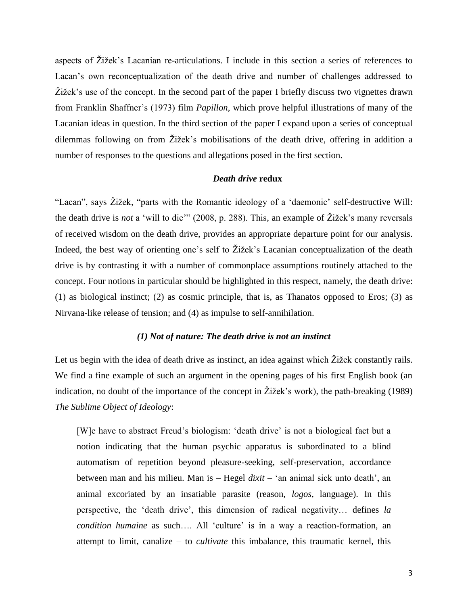aspects of Žižek"s Lacanian re-articulations. I include in this section a series of references to Lacan"s own reconceptualization of the death drive and number of challenges addressed to Žižek"s use of the concept. In the second part of the paper I briefly discuss two vignettes drawn from Franklin Shaffner"s (1973) film *Papillon*, which prove helpful illustrations of many of the Lacanian ideas in question. In the third section of the paper I expand upon a series of conceptual dilemmas following on from Žižek"s mobilisations of the death drive, offering in addition a number of responses to the questions and allegations posed in the first section.

# *Death drive* **redux**

"Lacan", says Žižek, "parts with the Romantic ideology of a "daemonic" self-destructive Will: the death drive is *not* a "will to die"" (2008, p. 288). This, an example of Žižek"s many reversals of received wisdom on the death drive, provides an appropriate departure point for our analysis. Indeed, the best way of orienting one's self to Žižek's Lacanian conceptualization of the death drive is by contrasting it with a number of commonplace assumptions routinely attached to the concept. Four notions in particular should be highlighted in this respect, namely, the death drive: (1) as biological instinct; (2) as cosmic principle, that is, as Thanatos opposed to Eros; (3) as Nirvana-like release of tension; and (4) as impulse to self-annihilation.

# *(1) Not of nature: The death drive is not an instinct*

Let us begin with the idea of death drive as instinct, an idea against which Žižek constantly rails. We find a fine example of such an argument in the opening pages of his first English book (an indication, no doubt of the importance of the concept in Žižek's work), the path-breaking (1989) *The Sublime Object of Ideology*:

[W]e have to abstract Freud"s biologism: "death drive" is not a biological fact but a notion indicating that the human psychic apparatus is subordinated to a blind automatism of repetition beyond pleasure-seeking, self-preservation, accordance between man and his milieu. Man is – Hegel *dixit* – "an animal sick unto death", an animal excoriated by an insatiable parasite (reason, *logos*, language). In this perspective, the "death drive", this dimension of radical negativity… defines *la condition humaine* as such.... All 'culture' is in a way a reaction-formation, an attempt to limit, canalize – to *cultivate* this imbalance, this traumatic kernel, this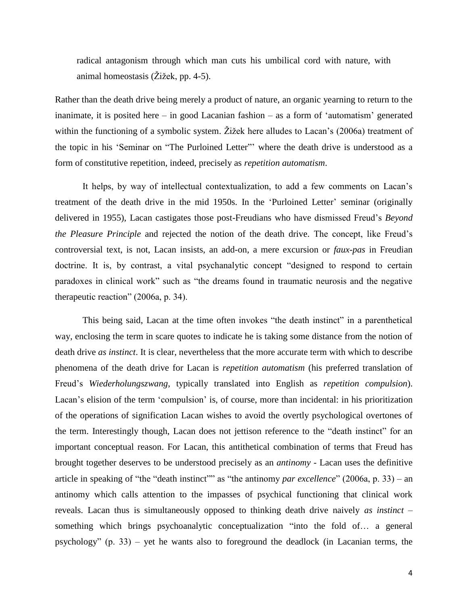radical antagonism through which man cuts his umbilical cord with nature, with animal homeostasis (Žižek, pp. 4-5).

Rather than the death drive being merely a product of nature, an organic yearning to return to the inanimate, it is posited here – in good Lacanian fashion – as a form of "automatism" generated within the functioning of a symbolic system. Žižek here alludes to Lacan's (2006a) treatment of the topic in his "Seminar on "The Purloined Letter"" where the death drive is understood as a form of constitutive repetition, indeed, precisely as *repetition automatism*.

It helps, by way of intellectual contextualization, to add a few comments on Lacan's treatment of the death drive in the mid 1950s. In the "Purloined Letter" seminar (originally delivered in 1955), Lacan castigates those post-Freudians who have dismissed Freud"s *Beyond the Pleasure Principle* and rejected the notion of the death drive. The concept, like Freud's controversial text, is not, Lacan insists, an add-on, a mere excursion or *faux-pas* in Freudian doctrine. It is, by contrast, a vital psychanalytic concept "designed to respond to certain paradoxes in clinical work" such as "the dreams found in traumatic neurosis and the negative therapeutic reaction" (2006a, p. 34).

This being said, Lacan at the time often invokes "the death instinct" in a parenthetical way, enclosing the term in scare quotes to indicate he is taking some distance from the notion of death drive *as instinct*. It is clear, nevertheless that the more accurate term with which to describe phenomena of the death drive for Lacan is *repetition automatism* (his preferred translation of Freud"s *Wiederholungszwang*, typically translated into English as *repetition compulsion*). Lacan's elision of the term 'compulsion' is, of course, more than incidental: in his prioritization of the operations of signification Lacan wishes to avoid the overtly psychological overtones of the term. Interestingly though, Lacan does not jettison reference to the "death instinct" for an important conceptual reason. For Lacan, this antithetical combination of terms that Freud has brought together deserves to be understood precisely as an *antinomy* - Lacan uses the definitive article in speaking of "the "death instinct"" as "the antinomy *par excellence*" (2006a, p. 33) – an antinomy which calls attention to the impasses of psychical functioning that clinical work reveals. Lacan thus is simultaneously opposed to thinking death drive naively *as instinct* – something which brings psychoanalytic conceptualization "into the fold of… a general psychology" (p. 33) – yet he wants also to foreground the deadlock (in Lacanian terms, the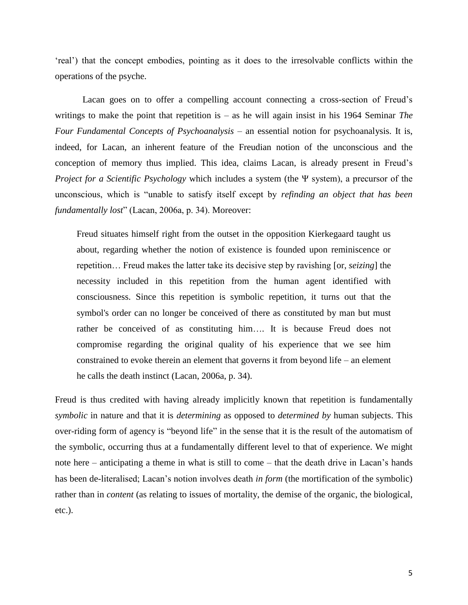"real") that the concept embodies, pointing as it does to the irresolvable conflicts within the operations of the psyche.

Lacan goes on to offer a compelling account connecting a cross-section of Freud"s writings to make the point that repetition is – as he will again insist in his 1964 Seminar *The Four Fundamental Concepts of Psychoanalysis* – an essential notion for psychoanalysis. It is, indeed, for Lacan, an inherent feature of the Freudian notion of the unconscious and the conception of memory thus implied. This idea, claims Lacan, is already present in Freud"s *Project for a Scientific Psychology* which includes a system (the Ψ system), a precursor of the unconscious, which is "unable to satisfy itself except by *refinding an object that has been fundamentally lost*" (Lacan, 2006a, p. 34). Moreover:

Freud situates himself right from the outset in the opposition Kierkegaard taught us about, regarding whether the notion of existence is founded upon reminiscence or repetition… Freud makes the latter take its decisive step by ravishing [or, *seizing*] the necessity included in this repetition from the human agent identified with consciousness. Since this repetition is symbolic repetition, it turns out that the symbol's order can no longer be conceived of there as constituted by man but must rather be conceived of as constituting him…. It is because Freud does not compromise regarding the original quality of his experience that we see him constrained to evoke therein an element that governs it from beyond life – an element he calls the death instinct (Lacan, 2006a, p. 34).

Freud is thus credited with having already implicitly known that repetition is fundamentally *symbolic* in nature and that it is *determining* as opposed to *determined by* human subjects. This over-riding form of agency is "beyond life" in the sense that it is the result of the automatism of the symbolic, occurring thus at a fundamentally different level to that of experience. We might note here – anticipating a theme in what is still to come – that the death drive in Lacan"s hands has been de-literalised; Lacan's notion involves death *in form* (the mortification of the symbolic) rather than in *content* (as relating to issues of mortality, the demise of the organic, the biological, etc.).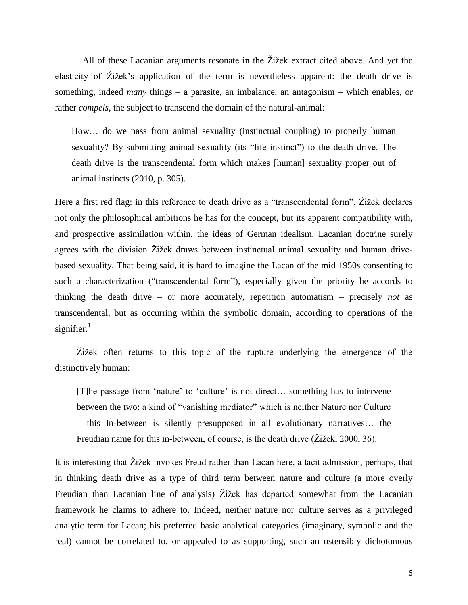All of these Lacanian arguments resonate in the Žižek extract cited above. And yet the elasticity of Žižek"s application of the term is nevertheless apparent: the death drive is something, indeed *many* things – a parasite, an imbalance, an antagonism – which enables, or rather *compels*, the subject to transcend the domain of the natural-animal:

How… do we pass from animal sexuality (instinctual coupling) to properly human sexuality? By submitting animal sexuality (its "life instinct") to the death drive. The death drive is the transcendental form which makes [human] sexuality proper out of animal instincts (2010, p. 305).

Here a first red flag: in this reference to death drive as a "transcendental form", Žižek declares not only the philosophical ambitions he has for the concept, but its apparent compatibility with, and prospective assimilation within, the ideas of German idealism. Lacanian doctrine surely agrees with the division Žižek draws between instinctual animal sexuality and human drivebased sexuality. That being said, it is hard to imagine the Lacan of the mid 1950s consenting to such a characterization ("transcendental form"), especially given the priority he accords to thinking the death drive – or more accurately, repetition automatism – precisely *not* as transcendental, but as occurring within the symbolic domain, according to operations of the signifier. $1$ 

Žižek often returns to this topic of the rupture underlying the emergence of the distinctively human:

[T]he passage from "nature" to "culture" is not direct… something has to intervene between the two: a kind of "vanishing mediator" which is neither Nature nor Culture – this In-between is silently presupposed in all evolutionary narratives… the Freudian name for this in-between, of course, is the death drive (Žižek, 2000, 36).

It is interesting that Žižek invokes Freud rather than Lacan here, a tacit admission, perhaps, that in thinking death drive as a type of third term between nature and culture (a more overly Freudian than Lacanian line of analysis) Žižek has departed somewhat from the Lacanian framework he claims to adhere to. Indeed, neither nature nor culture serves as a privileged analytic term for Lacan; his preferred basic analytical categories (imaginary, symbolic and the real) cannot be correlated to, or appealed to as supporting, such an ostensibly dichotomous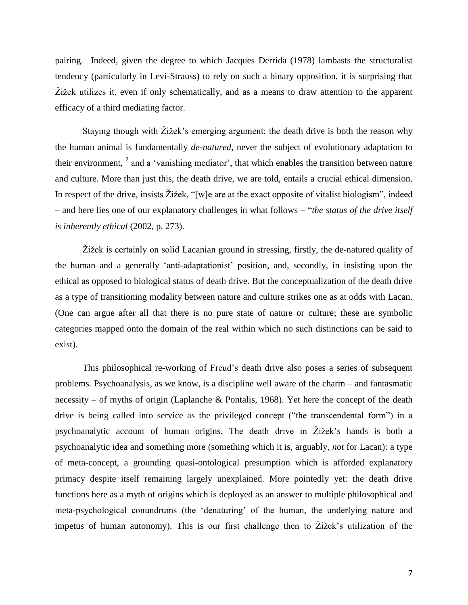pairing. Indeed, given the degree to which Jacques Derrida (1978) lambasts the structuralist tendency (particularly in Levi-Strauss) to rely on such a binary opposition, it is surprising that Žižek utilizes it, even if only schematically, and as a means to draw attention to the apparent efficacy of a third mediating factor.

Staying though with Žižek"s emerging argument: the death drive is both the reason why the human animal is fundamentally *de-natured,* never the subject of evolutionary adaptation to their environment,  $2$  and a 'vanishing mediator', that which enables the transition between nature and culture. More than just this, the death drive, we are told, entails a crucial ethical dimension. In respect of the drive, insists Žižek, "[w]e are at the exact opposite of vitalist biologism", indeed – and here lies one of our explanatory challenges in what follows – "*the status of the drive itself is inherently ethical* (2002, p. 273).

Žižek is certainly on solid Lacanian ground in stressing, firstly, the de-natured quality of the human and a generally "anti-adaptationist" position, and, secondly, in insisting upon the ethical as opposed to biological status of death drive. But the conceptualization of the death drive as a type of transitioning modality between nature and culture strikes one as at odds with Lacan. (One can argue after all that there is no pure state of nature or culture; these are symbolic categories mapped onto the domain of the real within which no such distinctions can be said to exist).

This philosophical re-working of Freud"s death drive also poses a series of subsequent problems. Psychoanalysis, as we know, is a discipline well aware of the charm – and fantasmatic necessity – of myths of origin (Laplanche & Pontalis, 1968). Yet here the concept of the death drive is being called into service as the privileged concept ("the transcendental form") in a psychoanalytic account of human origins. The death drive in Žižek"s hands is both a psychoanalytic idea and something more (something which it is, arguably, *not* for Lacan): a type of meta-concept, a grounding quasi-ontological presumption which is afforded explanatory primacy despite itself remaining largely unexplained. More pointedly yet: the death drive functions here as a myth of origins which is deployed as an answer to multiple philosophical and meta-psychological conundrums (the "denaturing" of the human, the underlying nature and impetus of human autonomy). This is our first challenge then to Žižek"s utilization of the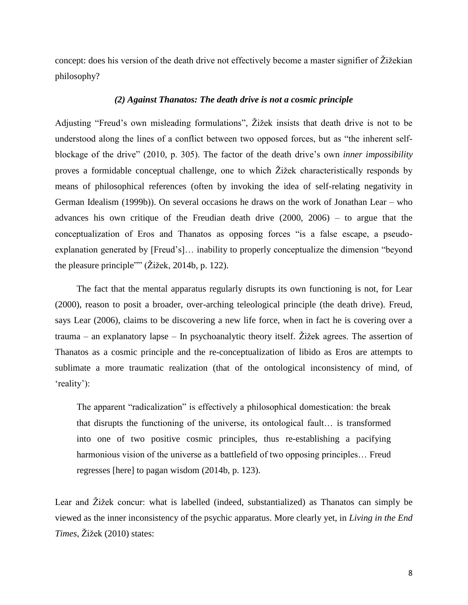concept: does his version of the death drive not effectively become a master signifier of Žižekian philosophy?

#### *(2) Against Thanatos: The death drive is not a cosmic principle*

Adjusting "Freud"s own misleading formulations", Žižek insists that death drive is not to be understood along the lines of a conflict between two opposed forces, but as "the inherent selfblockage of the drive" (2010, p. 305). The factor of the death drive"s own *inner impossibility* proves a formidable conceptual challenge, one to which Žižek characteristically responds by means of philosophical references (often by invoking the idea of self-relating negativity in German Idealism (1999b)). On several occasions he draws on the work of Jonathan Lear – who advances his own critique of the Freudian death drive (2000, 2006) – to argue that the conceptualization of Eros and Thanatos as opposing forces "is a false escape, a pseudoexplanation generated by [Freud"s]… inability to properly conceptualize the dimension "beyond the pleasure principle"" (Žižek, 2014b, p. 122).

The fact that the mental apparatus regularly disrupts its own functioning is not, for Lear (2000), reason to posit a broader, over-arching teleological principle (the death drive). Freud, says Lear (2006), claims to be discovering a new life force, when in fact he is covering over a trauma – an explanatory lapse – In psychoanalytic theory itself. Žižek agrees. The assertion of Thanatos as a cosmic principle and the re-conceptualization of libido as Eros are attempts to sublimate a more traumatic realization (that of the ontological inconsistency of mind, of 'reality'):

The apparent "radicalization" is effectively a philosophical domestication: the break that disrupts the functioning of the universe, its ontological fault… is transformed into one of two positive cosmic principles, thus re-establishing a pacifying harmonious vision of the universe as a battlefield of two opposing principles… Freud regresses [here] to pagan wisdom (2014b, p. 123).

Lear and Žižek concur: what is labelled (indeed, substantialized) as Thanatos can simply be viewed as the inner inconsistency of the psychic apparatus. More clearly yet, in *Living in the End Times*, Žižek (2010) states: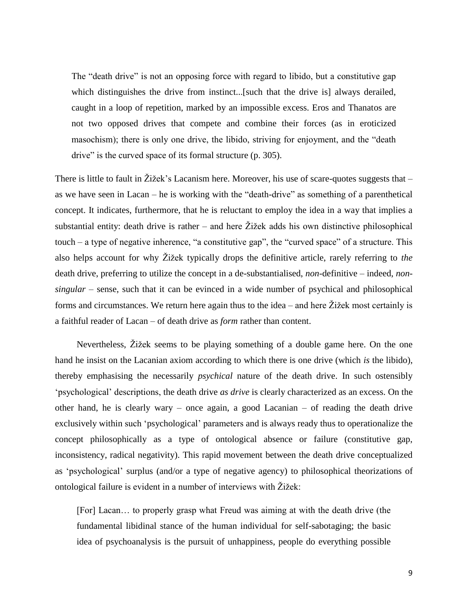The "death drive" is not an opposing force with regard to libido, but a constitutive gap which distinguishes the drive from instinct...[such that the drive is] always derailed, caught in a loop of repetition, marked by an impossible excess. Eros and Thanatos are not two opposed drives that compete and combine their forces (as in eroticized masochism); there is only one drive, the libido, striving for enjoyment, and the "death drive" is the curved space of its formal structure (p. 305).

There is little to fault in Žižek's Lacanism here. Moreover, his use of scare-quotes suggests that as we have seen in Lacan – he is working with the "death-drive" as something of a parenthetical concept. It indicates, furthermore, that he is reluctant to employ the idea in a way that implies a substantial entity: death drive is rather – and here  $\tilde{Z}$ ižek adds his own distinctive philosophical touch – a type of negative inherence, "a constitutive gap", the "curved space" of a structure. This also helps account for why Žižek typically drops the definitive article, rarely referring to *the* death drive, preferring to utilize the concept in a de-substantialised, *non*-definitive – indeed, *nonsingular* – sense, such that it can be evinced in a wide number of psychical and philosophical forms and circumstances. We return here again thus to the idea – and here Žižek most certainly is a faithful reader of Lacan – of death drive as *form* rather than content.

Nevertheless, Žižek seems to be playing something of a double game here. On the one hand he insist on the Lacanian axiom according to which there is one drive (which *is* the libido), thereby emphasising the necessarily *psychical* nature of the death drive. In such ostensibly "psychological" descriptions, the death drive *as drive* is clearly characterized as an excess. On the other hand, he is clearly wary – once again, a good Lacanian – of reading the death drive exclusively within such "psychological" parameters and is always ready thus to operationalize the concept philosophically as a type of ontological absence or failure (constitutive gap, inconsistency, radical negativity). This rapid movement between the death drive conceptualized as "psychological" surplus (and/or a type of negative agency) to philosophical theorizations of ontological failure is evident in a number of interviews with Žižek:

[For] Lacan… to properly grasp what Freud was aiming at with the death drive (the fundamental libidinal stance of the human individual for self-sabotaging; the basic idea of psychoanalysis is the pursuit of unhappiness, people do everything possible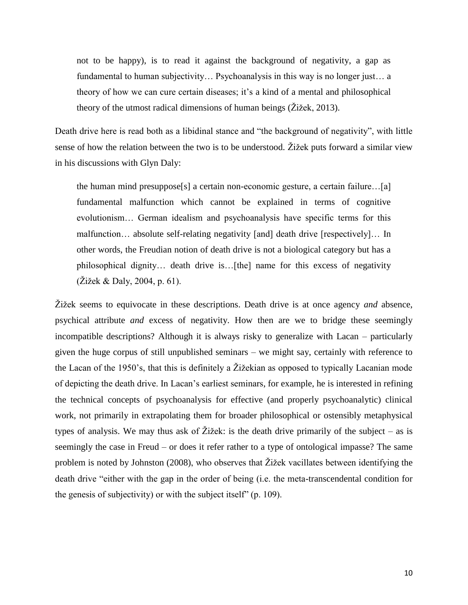not to be happy), is to read it against the background of negativity, a gap as fundamental to human subjectivity… Psychoanalysis in this way is no longer just… a theory of how we can cure certain diseases; it"s a kind of a mental and philosophical theory of the utmost radical dimensions of human beings (Žižek, 2013).

Death drive here is read both as a libidinal stance and "the background of negativity", with little sense of how the relation between the two is to be understood. Žižek puts forward a similar view in his discussions with Glyn Daly:

the human mind presuppose[s] a certain non-economic gesture, a certain failure…[a] fundamental malfunction which cannot be explained in terms of cognitive evolutionism… German idealism and psychoanalysis have specific terms for this malfunction… absolute self-relating negativity [and] death drive [respectively]… In other words, the Freudian notion of death drive is not a biological category but has a philosophical dignity… death drive is…[the] name for this excess of negativity (Žižek & Daly, 2004, p. 61).

Žižek seems to equivocate in these descriptions. Death drive is at once agency *and* absence, psychical attribute *and* excess of negativity. How then are we to bridge these seemingly incompatible descriptions? Although it is always risky to generalize with Lacan – particularly given the huge corpus of still unpublished seminars – we might say, certainly with reference to the Lacan of the 1950"s, that this is definitely a Žižekian as opposed to typically Lacanian mode of depicting the death drive. In Lacan"s earliest seminars, for example, he is interested in refining the technical concepts of psychoanalysis for effective (and properly psychoanalytic) clinical work, not primarily in extrapolating them for broader philosophical or ostensibly metaphysical types of analysis. We may thus ask of Žižek: is the death drive primarily of the subject – as is seemingly the case in Freud – or does it refer rather to a type of ontological impasse? The same problem is noted by Johnston (2008), who observes that Žižek vacillates between identifying the death drive "either with the gap in the order of being (i.e. the meta-transcendental condition for the genesis of subjectivity) or with the subject itself" (p. 109).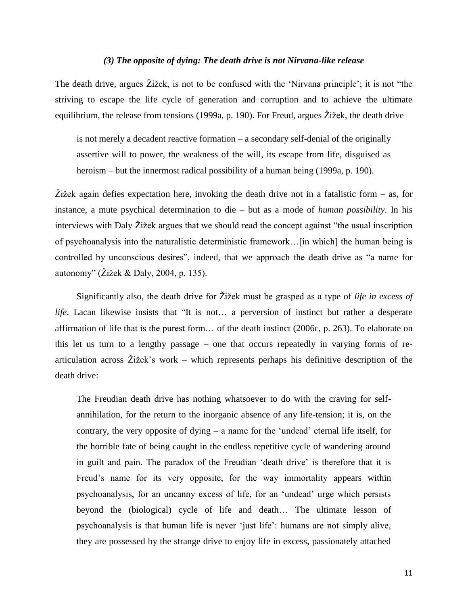# *(3) The opposite of dying: The death drive is not Nirvana-like release*

The death drive, argues Žižek, is not to be confused with the "Nirvana principle"; it is not "the striving to escape the life cycle of generation and corruption and to achieve the ultimate equilibrium, the release from tensions (1999a, p. 190). For Freud, argues Žižek, the death drive

is not merely a decadent reactive formation – a secondary self-denial of the originally assertive will to power, the weakness of the will, its escape from life, disguised as heroism – but the innermost radical possibility of a human being (1999a, p. 190).

Žižek again defies expectation here, invoking the death drive not in a fatalistic form – as, for instance, a mute psychical determination to die – but as a mode of *human possibility*. In his interviews with Daly Žižek argues that we should read the concept against "the usual inscription of psychoanalysis into the naturalistic deterministic framework…[in which] the human being is controlled by unconscious desires", indeed, that we approach the death drive as "a name for autonomy" (Žižek & Daly, 2004, p. 135).

Significantly also, the death drive for Žižek must be grasped as a type of *life in excess of life*. Lacan likewise insists that "It is not… a perversion of instinct but rather a desperate affirmation of life that is the purest form… of the death instinct (2006c, p. 263). To elaborate on this let us turn to a lengthy passage – one that occurs repeatedly in varying forms of rearticulation across Žižek"s work – which represents perhaps his definitive description of the death drive:

The Freudian death drive has nothing whatsoever to do with the craving for selfannihilation, for the return to the inorganic absence of any life-tension; it is, on the contrary, the very opposite of dying – a name for the "undead" eternal life itself, for the horrible fate of being caught in the endless repetitive cycle of wandering around in guilt and pain. The paradox of the Freudian "death drive" is therefore that it is Freud's name for its very opposite, for the way immortality appears within psychoanalysis, for an uncanny excess of life, for an "undead" urge which persists beyond the (biological) cycle of life and death… The ultimate lesson of psychoanalysis is that human life is never "just life": humans are not simply alive, they are possessed by the strange drive to enjoy life in excess, passionately attached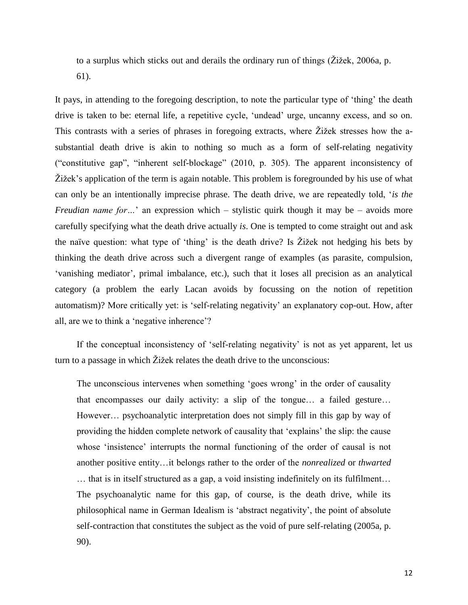to a surplus which sticks out and derails the ordinary run of things (Žižek, 2006a, p. 61).

It pays, in attending to the foregoing description, to note the particular type of 'thing' the death drive is taken to be: eternal life, a repetitive cycle, "undead" urge, uncanny excess, and so on. This contrasts with a series of phrases in foregoing extracts, where Žižek stresses how the asubstantial death drive is akin to nothing so much as a form of self-relating negativity ("constitutive gap", "inherent self-blockage" (2010, p. 305). The apparent inconsistency of Žižek"s application of the term is again notable. This problem is foregrounded by his use of what can only be an intentionally imprecise phrase. The death drive, we are repeatedly told, "*is the Freudian name for...*' an expression which – stylistic quirk though it may be – avoids more carefully specifying what the death drive actually *is*. One is tempted to come straight out and ask the naïve question: what type of "thing" is the death drive? Is Žižek not hedging his bets by thinking the death drive across such a divergent range of examples (as parasite, compulsion, "vanishing mediator", primal imbalance, etc.), such that it loses all precision as an analytical category (a problem the early Lacan avoids by focussing on the notion of repetition automatism)? More critically yet: is "self-relating negativity" an explanatory cop-out. How, after all, are we to think a "negative inherence"?

If the conceptual inconsistency of 'self-relating negativity' is not as yet apparent, let us turn to a passage in which Žižek relates the death drive to the unconscious:

The unconscious intervenes when something 'goes wrong' in the order of causality that encompasses our daily activity: a slip of the tongue… a failed gesture… However… psychoanalytic interpretation does not simply fill in this gap by way of providing the hidden complete network of causality that "explains" the slip: the cause whose 'insistence' interrupts the normal functioning of the order of causal is not another positive entity…it belongs rather to the order of the *nonrealized* or *thwarted* … that is in itself structured as a gap, a void insisting indefinitely on its fulfilment… The psychoanalytic name for this gap, of course, is the death drive, while its philosophical name in German Idealism is "abstract negativity", the point of absolute self-contraction that constitutes the subject as the void of pure self-relating (2005a, p. 90).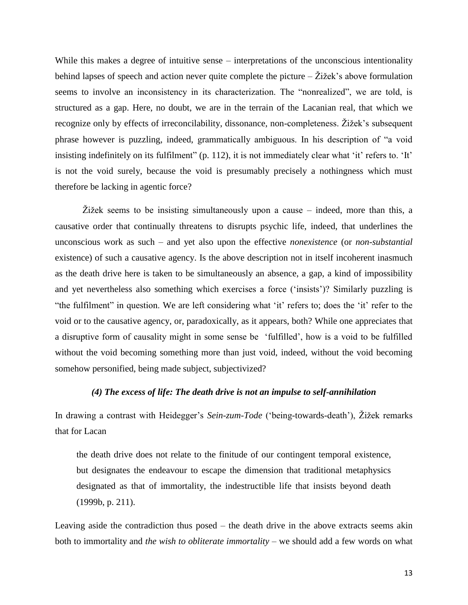While this makes a degree of intuitive sense – interpretations of the unconscious intentionality behind lapses of speech and action never quite complete the picture  $-\check{Z}$  ižek's above formulation seems to involve an inconsistency in its characterization. The "nonrealized", we are told, is structured as a gap. Here, no doubt, we are in the terrain of the Lacanian real, that which we recognize only by effects of irreconcilability, dissonance, non-completeness. Žižek"s subsequent phrase however is puzzling, indeed, grammatically ambiguous. In his description of "a void insisting indefinitely on its fulfilment" (p. 112), it is not immediately clear what 'it' refers to. 'It' is not the void surely, because the void is presumably precisely a nothingness which must therefore be lacking in agentic force?

Žižek seems to be insisting simultaneously upon a cause – indeed, more than this, a causative order that continually threatens to disrupts psychic life, indeed, that underlines the unconscious work as such – and yet also upon the effective *nonexistence* (or *non-substantial* existence) of such a causative agency. Is the above description not in itself incoherent inasmuch as the death drive here is taken to be simultaneously an absence, a gap, a kind of impossibility and yet nevertheless also something which exercises a force ('insists')? Similarly puzzling is "the fulfilment" in question. We are left considering what "it" refers to; does the "it" refer to the void or to the causative agency, or, paradoxically, as it appears, both? While one appreciates that a disruptive form of causality might in some sense be "fulfilled", how is a void to be fulfilled without the void becoming something more than just void, indeed, without the void becoming somehow personified, being made subject, subjectivized?

# *(4) The excess of life: The death drive is not an impulse to self-annihilation*

In drawing a contrast with Heidegger's *Sein-zum-Tode* ('being-towards-death'), Žižek remarks that for Lacan

the death drive does not relate to the finitude of our contingent temporal existence, but designates the endeavour to escape the dimension that traditional metaphysics designated as that of immortality, the indestructible life that insists beyond death (1999b, p. 211).

Leaving aside the contradiction thus posed – the death drive in the above extracts seems akin both to immortality and *the wish to obliterate immortality* – we should add a few words on what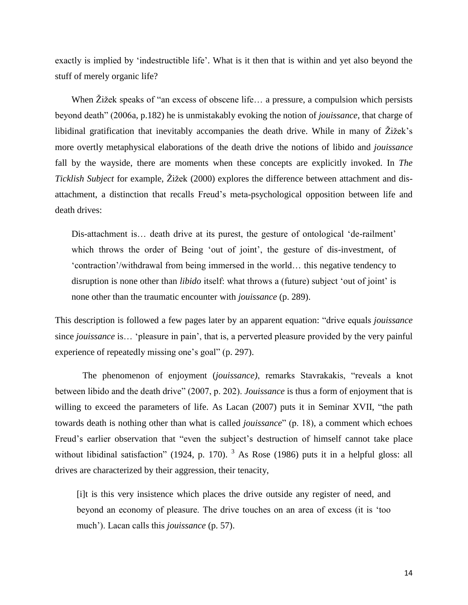exactly is implied by 'indestructible life'. What is it then that is within and yet also beyond the stuff of merely organic life?

When Žižek speaks of "an excess of obscene life… a pressure, a compulsion which persists beyond death" (2006a, p.182) he is unmistakably evoking the notion of *jouissance*, that charge of libidinal gratification that inevitably accompanies the death drive. While in many of Žižek"s more overtly metaphysical elaborations of the death drive the notions of libido and *jouissance* fall by the wayside, there are moments when these concepts are explicitly invoked. In *The Ticklish Subject* for example, Žižek (2000) explores the difference between attachment and disattachment, a distinction that recalls Freud"s meta-psychological opposition between life and death drives:

Dis-attachment is... death drive at its purest, the gesture of ontological 'de-railment' which throws the order of Being 'out of joint', the gesture of dis-investment, of "contraction"/withdrawal from being immersed in the world… this negative tendency to disruption is none other than *libido* itself: what throws a (future) subject 'out of joint' is none other than the traumatic encounter with *jouissance* (p. 289).

This description is followed a few pages later by an apparent equation: "drive equals *jouissance* since *jouissance* is… "pleasure in pain", that is, a perverted pleasure provided by the very painful experience of repeatedly missing one's goal" (p. 297).

The phenomenon of enjoyment (*jouissance)*, remarks Stavrakakis, "reveals a knot between libido and the death drive" (2007, p. 202). *Jouissance* is thus a form of enjoyment that is willing to exceed the parameters of life. As Lacan (2007) puts it in Seminar XVII, "the path towards death is nothing other than what is called *jouissance*" (p. 18), a comment which echoes Freud's earlier observation that "even the subject's destruction of himself cannot take place without libidinal satisfaction" (1924, p. 170).  $3$  As Rose (1986) puts it in a helpful gloss: all drives are characterized by their aggression, their tenacity,

[i]t is this very insistence which places the drive outside any register of need, and beyond an economy of pleasure. The drive touches on an area of excess (it is "too much'). Lacan calls this *jouissance* (p. 57).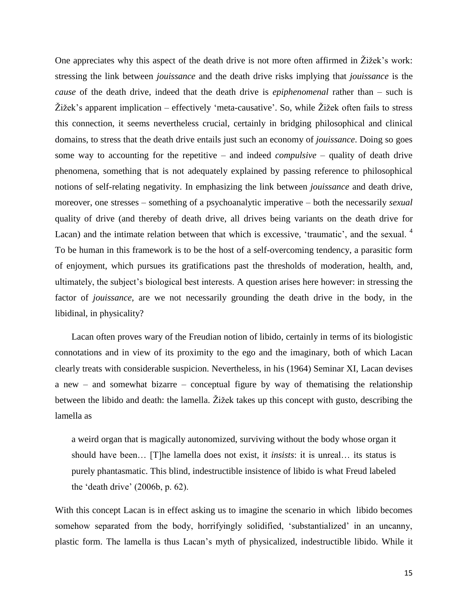One appreciates why this aspect of the death drive is not more often affirmed in Žižek"s work: stressing the link between *jouissance* and the death drive risks implying that *jouissance* is the *cause* of the death drive, indeed that the death drive is *epiphenomenal* rather than – such is Žižek"s apparent implication – effectively "meta-causative". So, while Žižek often fails to stress this connection, it seems nevertheless crucial, certainly in bridging philosophical and clinical domains, to stress that the death drive entails just such an economy of *jouissance*. Doing so goes some way to accounting for the repetitive – and indeed *compulsive* – quality of death drive phenomena, something that is not adequately explained by passing reference to philosophical notions of self-relating negativity. In emphasizing the link between *jouissance* and death drive, moreover, one stresses – something of a psychoanalytic imperative – both the necessarily *sexual* quality of drive (and thereby of death drive, all drives being variants on the death drive for Lacan) and the intimate relation between that which is excessive, 'traumatic', and the sexual. <sup>4</sup> To be human in this framework is to be the host of a self-overcoming tendency, a parasitic form of enjoyment, which pursues its gratifications past the thresholds of moderation, health, and, ultimately, the subject"s biological best interests. A question arises here however: in stressing the factor of *jouissance*, are we not necessarily grounding the death drive in the body, in the libidinal, in physicality?

Lacan often proves wary of the Freudian notion of libido, certainly in terms of its biologistic connotations and in view of its proximity to the ego and the imaginary, both of which Lacan clearly treats with considerable suspicion. Nevertheless, in his (1964) Seminar XI, Lacan devises a new – and somewhat bizarre – conceptual figure by way of thematising the relationship between the libido and death: the lamella. Žižek takes up this concept with gusto, describing the lamella as

a weird organ that is magically autonomized, surviving without the body whose organ it should have been… [T]he lamella does not exist, it *insists*: it is unreal… its status is purely phantasmatic. This blind, indestructible insistence of libido is what Freud labeled the "death drive" (2006b, p. 62).

With this concept Lacan is in effect asking us to imagine the scenario in which libido becomes somehow separated from the body, horrifyingly solidified, 'substantialized' in an uncanny, plastic form. The lamella is thus Lacan"s myth of physicalized, indestructible libido. While it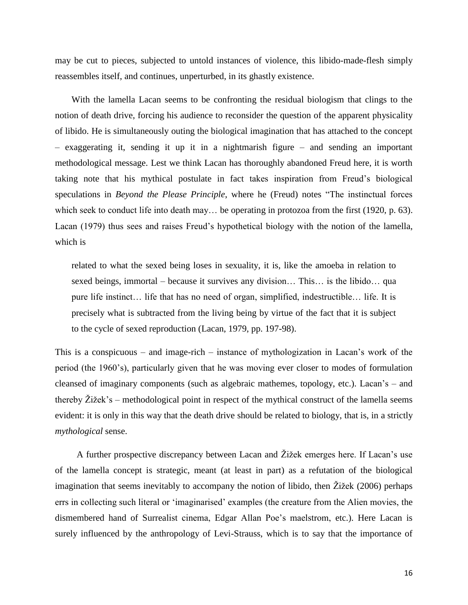may be cut to pieces, subjected to untold instances of violence, this libido-made-flesh simply reassembles itself, and continues, unperturbed, in its ghastly existence.

With the lamella Lacan seems to be confronting the residual biologism that clings to the notion of death drive, forcing his audience to reconsider the question of the apparent physicality of libido. He is simultaneously outing the biological imagination that has attached to the concept – exaggerating it, sending it up it in a nightmarish figure – and sending an important methodological message. Lest we think Lacan has thoroughly abandoned Freud here, it is worth taking note that his mythical postulate in fact takes inspiration from Freud"s biological speculations in *Beyond the Please Principle*, where he (Freud) notes "The instinctual forces which seek to conduct life into death may... be operating in protozoa from the first (1920, p. 63). Lacan (1979) thus sees and raises Freud"s hypothetical biology with the notion of the lamella, which is

related to what the sexed being loses in sexuality, it is, like the amoeba in relation to sexed beings, immortal – because it survives any division… This… is the libido… qua pure life instinct… life that has no need of organ, simplified, indestructible… life. It is precisely what is subtracted from the living being by virtue of the fact that it is subject to the cycle of sexed reproduction (Lacan, 1979, pp. 197-98).

This is a conspicuous – and image-rich – instance of mythologization in Lacan"s work of the period (the 1960"s), particularly given that he was moving ever closer to modes of formulation cleansed of imaginary components (such as algebraic mathemes, topology, etc.). Lacan"s – and thereby Žižek"s – methodological point in respect of the mythical construct of the lamella seems evident: it is only in this way that the death drive should be related to biology, that is, in a strictly *mythological* sense.

A further prospective discrepancy between Lacan and Žižek emerges here. If Lacan"s use of the lamella concept is strategic, meant (at least in part) as a refutation of the biological imagination that seems inevitably to accompany the notion of libido, then Žižek (2006) perhaps errs in collecting such literal or "imaginarised" examples (the creature from the Alien movies, the dismembered hand of Surrealist cinema, Edgar Allan Poe"s maelstrom, etc.). Here Lacan is surely influenced by the anthropology of Levi-Strauss, which is to say that the importance of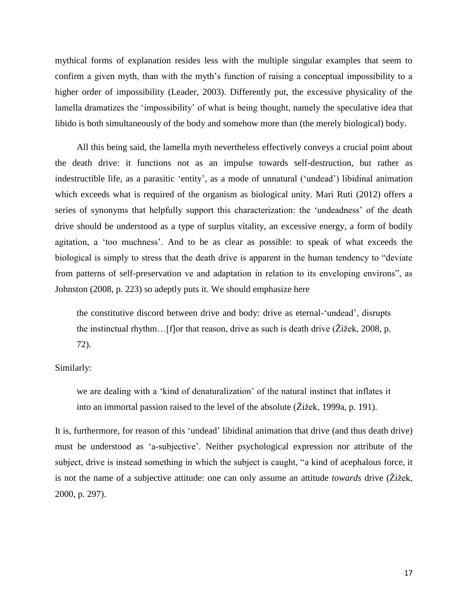mythical forms of explanation resides less with the multiple singular examples that seem to confirm a given myth, than with the myth's function of raising a conceptual impossibility to a higher order of impossibility (Leader, 2003). Differently put, the excessive physicality of the lamella dramatizes the 'impossibility' of what is being thought, namely the speculative idea that libido is both simultaneously of the body and somehow more than (the merely biological) body.

All this being said, the lamella myth nevertheless effectively conveys a crucial point about the death drive: it functions not as an impulse towards self-destruction, but rather as indestructible life, as a parasitic "entity", as a mode of unnatural ("undead") libidinal animation which exceeds what is required of the organism as biological unity. Mari Ruti (2012) offers a series of synonyms that helpfully support this characterization: the 'undeadness' of the death drive should be understood as a type of surplus vitality, an excessive energy, a form of bodily agitation, a "too muchness". And to be as clear as possible: to speak of what exceeds the biological is simply to stress that the death drive is apparent in the human tendency to "deviate from patterns of self-preservation ve and adaptation in relation to its enveloping environs", as Johnston (2008, p. 223) so adeptly puts it. We should emphasize here

the constitutive discord between drive and body: drive as eternal-"undead", disrupts the instinctual rhythm…[f]or that reason, drive as such is death drive (Žižek, 2008, p. 72).

Similarly:

we are dealing with a "kind of denaturalization" of the natural instinct that inflates it into an immortal passion raised to the level of the absolute (Žižek, 1999a, p. 191).

It is, furthermore, for reason of this "undead" libidinal animation that drive (and thus death drive) must be understood as "a-subjective". Neither psychological expression nor attribute of the subject, drive is instead something in which the subject is caught, "a kind of acephalous force, it is not the name of a subjective attitude: one can only assume an attitude *towards* drive (Žižek, 2000, p. 297).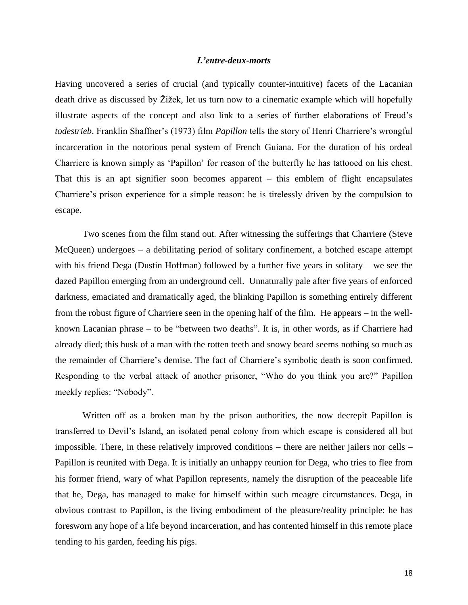# *L'entre-deux-morts*

Having uncovered a series of crucial (and typically counter-intuitive) facets of the Lacanian death drive as discussed by Žižek, let us turn now to a cinematic example which will hopefully illustrate aspects of the concept and also link to a series of further elaborations of Freud"s *todestrieb*. Franklin Shaffner's (1973) film *Papillon* tells the story of Henri Charriere's wrongful incarceration in the notorious penal system of French Guiana. For the duration of his ordeal Charriere is known simply as "Papillon" for reason of the butterfly he has tattooed on his chest. That this is an apt signifier soon becomes apparent – this emblem of flight encapsulates Charriere"s prison experience for a simple reason: he is tirelessly driven by the compulsion to escape.

Two scenes from the film stand out. After witnessing the sufferings that Charriere (Steve McQueen) undergoes – a debilitating period of solitary confinement, a botched escape attempt with his friend Dega (Dustin Hoffman) followed by a further five years in solitary – we see the dazed Papillon emerging from an underground cell. Unnaturally pale after five years of enforced darkness, emaciated and dramatically aged, the blinking Papillon is something entirely different from the robust figure of Charriere seen in the opening half of the film. He appears – in the wellknown Lacanian phrase – to be "between two deaths". It is, in other words, as if Charriere had already died; this husk of a man with the rotten teeth and snowy beard seems nothing so much as the remainder of Charriere"s demise. The fact of Charriere"s symbolic death is soon confirmed. Responding to the verbal attack of another prisoner, "Who do you think you are?" Papillon meekly replies: "Nobody".

Written off as a broken man by the prison authorities, the now decrepit Papillon is transferred to Devil"s Island, an isolated penal colony from which escape is considered all but impossible. There, in these relatively improved conditions – there are neither jailers nor cells – Papillon is reunited with Dega. It is initially an unhappy reunion for Dega, who tries to flee from his former friend, wary of what Papillon represents, namely the disruption of the peaceable life that he, Dega, has managed to make for himself within such meagre circumstances. Dega, in obvious contrast to Papillon, is the living embodiment of the pleasure/reality principle: he has foresworn any hope of a life beyond incarceration, and has contented himself in this remote place tending to his garden, feeding his pigs.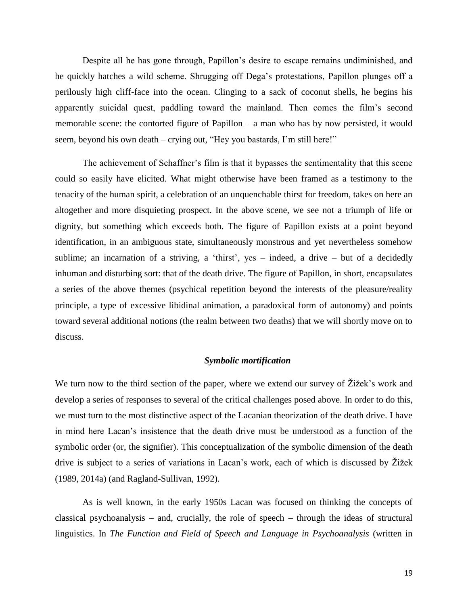Despite all he has gone through, Papillon"s desire to escape remains undiminished, and he quickly hatches a wild scheme. Shrugging off Dega"s protestations, Papillon plunges off a perilously high cliff-face into the ocean. Clinging to a sack of coconut shells, he begins his apparently suicidal quest, paddling toward the mainland. Then comes the film"s second memorable scene: the contorted figure of Papillon – a man who has by now persisted, it would seem, beyond his own death – crying out, "Hey you bastards, I'm still here!"

The achievement of Schaffner's film is that it bypasses the sentimentality that this scene could so easily have elicited. What might otherwise have been framed as a testimony to the tenacity of the human spirit, a celebration of an unquenchable thirst for freedom, takes on here an altogether and more disquieting prospect. In the above scene, we see not a triumph of life or dignity, but something which exceeds both. The figure of Papillon exists at a point beyond identification, in an ambiguous state, simultaneously monstrous and yet nevertheless somehow sublime; an incarnation of a striving, a 'thirst', yes – indeed, a drive – but of a decidedly inhuman and disturbing sort: that of the death drive. The figure of Papillon, in short, encapsulates a series of the above themes (psychical repetition beyond the interests of the pleasure/reality principle, a type of excessive libidinal animation, a paradoxical form of autonomy) and points toward several additional notions (the realm between two deaths) that we will shortly move on to discuss.

#### *Symbolic mortification*

We turn now to the third section of the paper, where we extend our survey of  $\tilde{Z}$  izek's work and develop a series of responses to several of the critical challenges posed above. In order to do this, we must turn to the most distinctive aspect of the Lacanian theorization of the death drive. I have in mind here Lacan"s insistence that the death drive must be understood as a function of the symbolic order (or, the signifier). This conceptualization of the symbolic dimension of the death drive is subject to a series of variations in Lacan"s work, each of which is discussed by Žižek (1989, 2014a) (and Ragland-Sullivan, 1992).

As is well known, in the early 1950s Lacan was focused on thinking the concepts of classical psychoanalysis – and, crucially, the role of speech – through the ideas of structural linguistics. In *The Function and Field of Speech and Language in Psychoanalysis* (written in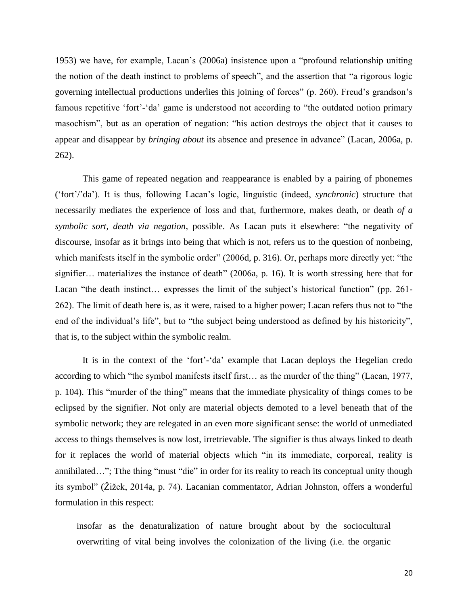1953) we have, for example, Lacan"s (2006a) insistence upon a "profound relationship uniting the notion of the death instinct to problems of speech", and the assertion that "a rigorous logic governing intellectual productions underlies this joining of forces" (p. 260). Freud"s grandson"s famous repetitive 'fort'-'da' game is understood not according to "the outdated notion primary masochism", but as an operation of negation: "his action destroys the object that it causes to appear and disappear by *bringing about* its absence and presence in advance" (Lacan, 2006a, p. 262).

This game of repeated negation and reappearance is enabled by a pairing of phonemes ("fort"/"da"). It is thus, following Lacan"s logic, linguistic (indeed, *synchronic*) structure that necessarily mediates the experience of loss and that, furthermore, makes death, or death *of a symbolic sort, death via negation*, possible. As Lacan puts it elsewhere: "the negativity of discourse, insofar as it brings into being that which is not, refers us to the question of nonbeing, which manifests itself in the symbolic order" (2006d, p. 316). Or, perhaps more directly yet: "the signifier… materializes the instance of death" (2006a, p. 16). It is worth stressing here that for Lacan "the death instinct... expresses the limit of the subject's historical function" (pp. 261-262). The limit of death here is, as it were, raised to a higher power; Lacan refers thus not to "the end of the individual"s life", but to "the subject being understood as defined by his historicity", that is, to the subject within the symbolic realm.

It is in the context of the 'fort'-'da' example that Lacan deploys the Hegelian credo according to which "the symbol manifests itself first… as the murder of the thing" (Lacan, 1977, p. 104). This "murder of the thing" means that the immediate physicality of things comes to be eclipsed by the signifier. Not only are material objects demoted to a level beneath that of the symbolic network; they are relegated in an even more significant sense: the world of unmediated access to things themselves is now lost, irretrievable. The signifier is thus always linked to death for it replaces the world of material objects which "in its immediate, corporeal, reality is annihilated…"; Tthe thing "must "die" in order for its reality to reach its conceptual unity though its symbol" (Žižek, 2014a, p. 74). Lacanian commentator, Adrian Johnston, offers a wonderful formulation in this respect:

insofar as the denaturalization of nature brought about by the sociocultural overwriting of vital being involves the colonization of the living (i.e. the organic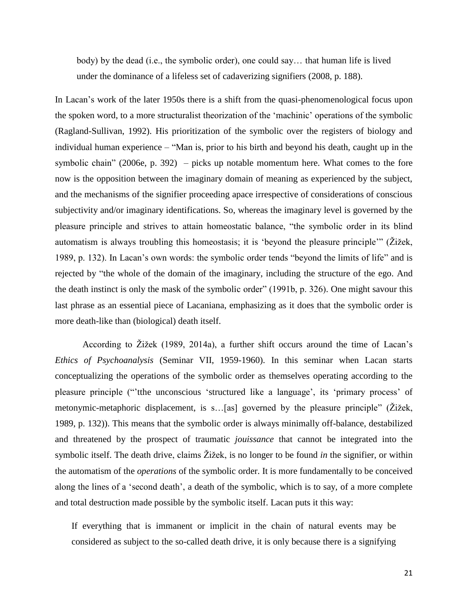body) by the dead (i.e., the symbolic order), one could say… that human life is lived under the dominance of a lifeless set of cadaverizing signifiers (2008, p. 188).

In Lacan's work of the later 1950s there is a shift from the quasi-phenomenological focus upon the spoken word, to a more structuralist theorization of the "machinic" operations of the symbolic (Ragland-Sullivan, 1992). His prioritization of the symbolic over the registers of biology and individual human experience – "Man is, prior to his birth and beyond his death, caught up in the symbolic chain" (2006e, p. 392) – picks up notable momentum here. What comes to the fore now is the opposition between the imaginary domain of meaning as experienced by the subject, and the mechanisms of the signifier proceeding apace irrespective of considerations of conscious subjectivity and/or imaginary identifications. So, whereas the imaginary level is governed by the pleasure principle and strives to attain homeostatic balance, "the symbolic order in its blind automatism is always troubling this homeostasis; it is "beyond the pleasure principle"" (Žižek, 1989, p. 132). In Lacan"s own words: the symbolic order tends "beyond the limits of life" and is rejected by "the whole of the domain of the imaginary, including the structure of the ego. And the death instinct is only the mask of the symbolic order" (1991b, p. 326). One might savour this last phrase as an essential piece of Lacaniana, emphasizing as it does that the symbolic order is more death-like than (biological) death itself.

According to Žižek (1989, 2014a), a further shift occurs around the time of Lacan"s *Ethics of Psychoanalysis* (Seminar VII, 1959-1960). In this seminar when Lacan starts conceptualizing the operations of the symbolic order as themselves operating according to the pleasure principle (""tthe unconscious "structured like a language", its "primary process" of metonymic-metaphoric displacement, is s…[as] governed by the pleasure principle" (Žižek, 1989, p. 132)). This means that the symbolic order is always minimally off-balance, destabilized and threatened by the prospect of traumatic *jouissance* that cannot be integrated into the symbolic itself. The death drive, claims Žižek, is no longer to be found *in* the signifier, or within the automatism of the *operations* of the symbolic order. It is more fundamentally to be conceived along the lines of a 'second death', a death of the symbolic, which is to say, of a more complete and total destruction made possible by the symbolic itself. Lacan puts it this way:

If everything that is immanent or implicit in the chain of natural events may be considered as subject to the so-called death drive, it is only because there is a signifying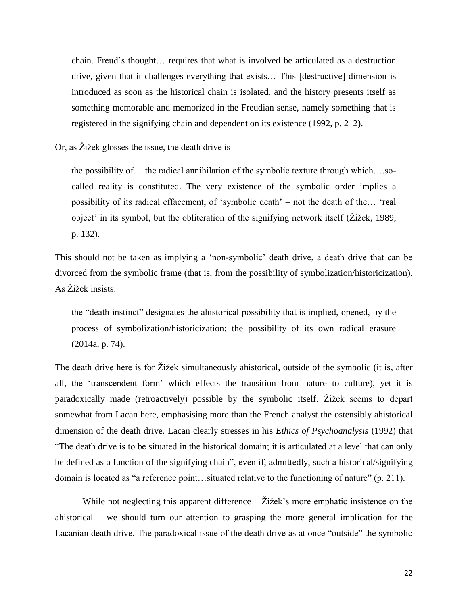chain. Freud"s thought… requires that what is involved be articulated as a destruction drive, given that it challenges everything that exists… This [destructive] dimension is introduced as soon as the historical chain is isolated, and the history presents itself as something memorable and memorized in the Freudian sense, namely something that is registered in the signifying chain and dependent on its existence (1992, p. 212).

Or, as Žižek glosses the issue, the death drive is

the possibility of… the radical annihilation of the symbolic texture through which….socalled reality is constituted. The very existence of the symbolic order implies a possibility of its radical effacement, of "symbolic death" – not the death of the… "real object" in its symbol, but the obliteration of the signifying network itself (Žižek, 1989, p. 132).

This should not be taken as implying a "non-symbolic" death drive, a death drive that can be divorced from the symbolic frame (that is, from the possibility of symbolization/historicization). As Žižek insists:

the "death instinct" designates the ahistorical possibility that is implied, opened, by the process of symbolization/historicization: the possibility of its own radical erasure (2014a, p. 74).

The death drive here is for Žižek simultaneously ahistorical, outside of the symbolic (it is, after all, the "transcendent form" which effects the transition from nature to culture), yet it is paradoxically made (retroactively) possible by the symbolic itself. Žižek seems to depart somewhat from Lacan here, emphasising more than the French analyst the ostensibly ahistorical dimension of the death drive. Lacan clearly stresses in his *Ethics of Psychoanalysis* (1992) that "The death drive is to be situated in the historical domain; it is articulated at a level that can only be defined as a function of the signifying chain", even if, admittedly, such a historical/signifying domain is located as "a reference point…situated relative to the functioning of nature" (p. 211).

While not neglecting this apparent difference  $-\check{Z}$ ižek's more emphatic insistence on the ahistorical – we should turn our attention to grasping the more general implication for the Lacanian death drive. The paradoxical issue of the death drive as at once "outside" the symbolic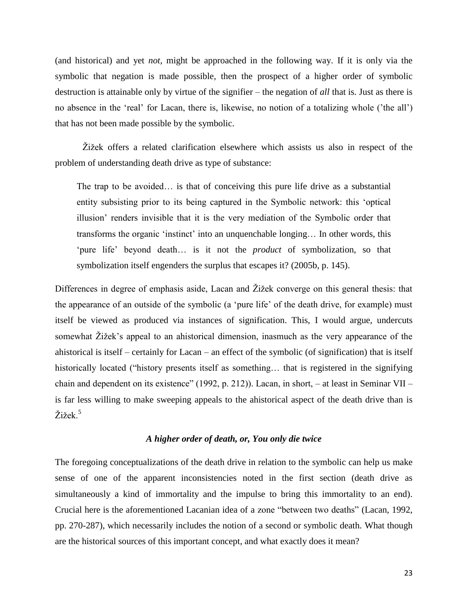(and historical) and yet *not*, might be approached in the following way. If it is only via the symbolic that negation is made possible, then the prospect of a higher order of symbolic destruction is attainable only by virtue of the signifier – the negation of *all* that is. Just as there is no absence in the "real" for Lacan, there is, likewise, no notion of a totalizing whole ("the all") that has not been made possible by the symbolic.

Žižek offers a related clarification elsewhere which assists us also in respect of the problem of understanding death drive as type of substance:

The trap to be avoided… is that of conceiving this pure life drive as a substantial entity subsisting prior to its being captured in the Symbolic network: this "optical illusion" renders invisible that it is the very mediation of the Symbolic order that transforms the organic "instinct" into an unquenchable longing… In other words, this 'pure life' beyond death... is it not the *product* of symbolization, so that symbolization itself engenders the surplus that escapes it? (2005b, p. 145).

Differences in degree of emphasis aside, Lacan and Žižek converge on this general thesis: that the appearance of an outside of the symbolic (a "pure life" of the death drive, for example) must itself be viewed as produced via instances of signification. This, I would argue, undercuts somewhat Žižek's appeal to an ahistorical dimension, inasmuch as the very appearance of the ahistorical is itself – certainly for Lacan – an effect of the symbolic (of signification) that is itself historically located ("history presents itself as something... that is registered in the signifying chain and dependent on its existence" (1992, p. 212)). Lacan, in short, – at least in Seminar VII – is far less willing to make sweeping appeals to the ahistorical aspect of the death drive than is Žižek.<sup>5</sup>

# *A higher order of death, or, You only die twice*

The foregoing conceptualizations of the death drive in relation to the symbolic can help us make sense of one of the apparent inconsistencies noted in the first section (death drive as simultaneously a kind of immortality and the impulse to bring this immortality to an end). Crucial here is the aforementioned Lacanian idea of a zone "between two deaths" (Lacan, 1992, pp. 270-287), which necessarily includes the notion of a second or symbolic death. What though are the historical sources of this important concept, and what exactly does it mean?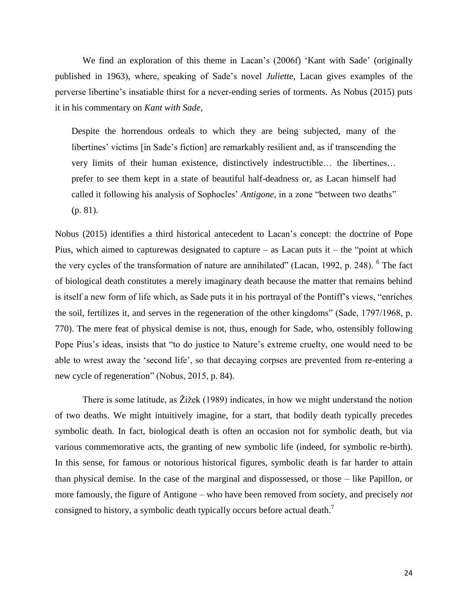We find an exploration of this theme in Lacan's (2006f) 'Kant with Sade' (originally published in 1963), where, speaking of Sade"s novel *Juliette*, Lacan gives examples of the perverse libertine"s insatiable thirst for a never-ending series of torments. As Nobus (2015) puts it in his commentary on *Kant with Sade*,

Despite the horrendous ordeals to which they are being subjected, many of the libertines' victims [in Sade's fiction] are remarkably resilient and, as if transcending the very limits of their human existence, distinctively indestructible… the libertines… prefer to see them kept in a state of beautiful half-deadness or, as Lacan himself had called it following his analysis of Sophocles" *Antigone*, in a zone "between two deaths" (p. 81).

Nobus (2015) identifies a third historical antecedent to Lacan"s concept: the doctrine of Pope Pius, which aimed to capturewas designated to capture – as Lacan puts it – the "point at which the very cycles of the transformation of nature are annihilated" (Lacan, 1992, p. 248). <sup>6</sup> The fact of biological death constitutes a merely imaginary death because the matter that remains behind is itself a new form of life which, as Sade puts it in his portrayal of the Pontiff"s views, "enriches the soil, fertilizes it, and serves in the regeneration of the other kingdoms" (Sade, 1797/1968, p. 770). The mere feat of physical demise is not, thus, enough for Sade, who, ostensibly following Pope Pius's ideas, insists that "to do justice to Nature's extreme cruelty, one would need to be able to wrest away the "second life", so that decaying corpses are prevented from re-entering a new cycle of regeneration" (Nobus, 2015, p. 84).

There is some latitude, as Žižek (1989) indicates, in how we might understand the notion of two deaths. We might intuitively imagine, for a start, that bodily death typically precedes symbolic death. In fact, biological death is often an occasion not for symbolic death, but via various commemorative acts, the granting of new symbolic life (indeed, for symbolic re-birth). In this sense, for famous or notorious historical figures, symbolic death is far harder to attain than physical demise. In the case of the marginal and dispossessed, or those – like Papillon, or more famously, the figure of Antigone – who have been removed from society, and precisely *not* consigned to history, a symbolic death typically occurs before actual death.<sup>7</sup>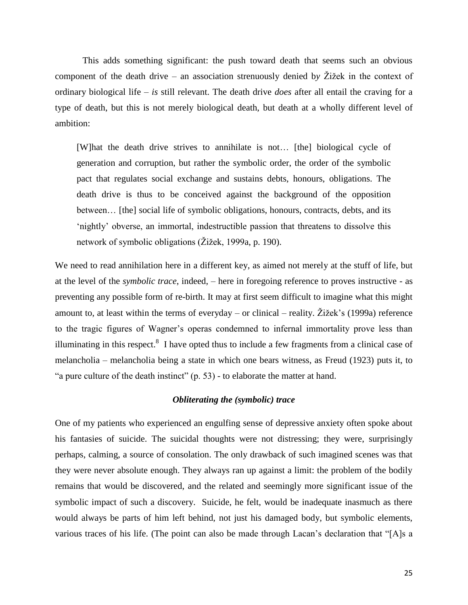This adds something significant: the push toward death that seems such an obvious component of the death drive – an association strenuously denied b*y* Žižek in the context of ordinary biological life – *is* still relevant. The death drive *does* after all entail the craving for a type of death, but this is not merely biological death, but death at a wholly different level of ambition:

[W]hat the death drive strives to annihilate is not… [the] biological cycle of generation and corruption, but rather the symbolic order, the order of the symbolic pact that regulates social exchange and sustains debts, honours, obligations. The death drive is thus to be conceived against the background of the opposition between… [the] social life of symbolic obligations, honours, contracts, debts, and its "nightly" obverse, an immortal, indestructible passion that threatens to dissolve this network of symbolic obligations (Žižek, 1999a, p. 190).

We need to read annihilation here in a different key, as aimed not merely at the stuff of life, but at the level of the *symbolic trace*, indeed, – here in foregoing reference to proves instructive - as preventing any possible form of re-birth. It may at first seem difficult to imagine what this might amount to, at least within the terms of everyday – or clinical – reality. Žižek's (1999a) reference to the tragic figures of Wagner"s operas condemned to infernal immortality prove less than illuminating in this respect. $8\,$  I have opted thus to include a few fragments from a clinical case of melancholia – melancholia being a state in which one bears witness, as Freud (1923) puts it, to "a pure culture of the death instinct" (p. 53) - to elaborate the matter at hand.

# *Obliterating the (symbolic) trace*

One of my patients who experienced an engulfing sense of depressive anxiety often spoke about his fantasies of suicide. The suicidal thoughts were not distressing; they were, surprisingly perhaps, calming, a source of consolation. The only drawback of such imagined scenes was that they were never absolute enough. They always ran up against a limit: the problem of the bodily remains that would be discovered, and the related and seemingly more significant issue of the symbolic impact of such a discovery. Suicide, he felt, would be inadequate inasmuch as there would always be parts of him left behind, not just his damaged body, but symbolic elements, various traces of his life. (The point can also be made through Lacan"s declaration that "[A]s a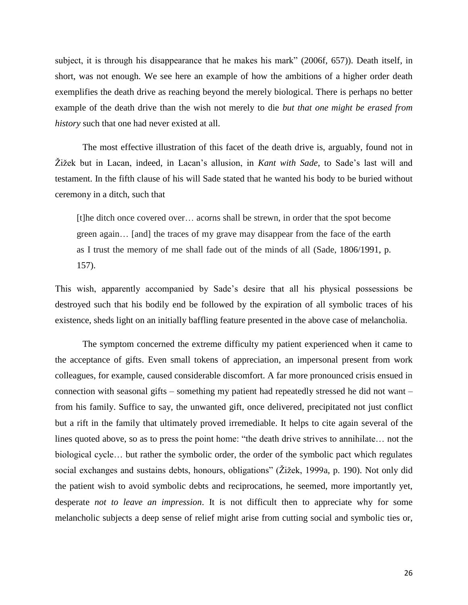subject, it is through his disappearance that he makes his mark" (2006f, 657)). Death itself, in short, was not enough. We see here an example of how the ambitions of a higher order death exemplifies the death drive as reaching beyond the merely biological. There is perhaps no better example of the death drive than the wish not merely to die *but that one might be erased from history* such that one had never existed at all.

The most effective illustration of this facet of the death drive is, arguably, found not in Žižek but in Lacan, indeed, in Lacan"s allusion, in *Kant with Sade*, to Sade"s last will and testament. In the fifth clause of his will Sade stated that he wanted his body to be buried without ceremony in a ditch, such that

[t]he ditch once covered over… acorns shall be strewn, in order that the spot become green again… [and] the traces of my grave may disappear from the face of the earth as I trust the memory of me shall fade out of the minds of all (Sade, 1806/1991, p. 157).

This wish, apparently accompanied by Sade"s desire that all his physical possessions be destroyed such that his bodily end be followed by the expiration of all symbolic traces of his existence, sheds light on an initially baffling feature presented in the above case of melancholia.

The symptom concerned the extreme difficulty my patient experienced when it came to the acceptance of gifts. Even small tokens of appreciation, an impersonal present from work colleagues, for example, caused considerable discomfort. A far more pronounced crisis ensued in connection with seasonal gifts – something my patient had repeatedly stressed he did not want – from his family. Suffice to say, the unwanted gift, once delivered, precipitated not just conflict but a rift in the family that ultimately proved irremediable. It helps to cite again several of the lines quoted above, so as to press the point home: "the death drive strives to annihilate… not the biological cycle… but rather the symbolic order, the order of the symbolic pact which regulates social exchanges and sustains debts, honours, obligations" (Žižek, 1999a, p. 190). Not only did the patient wish to avoid symbolic debts and reciprocations, he seemed, more importantly yet, desperate *not to leave an impression*. It is not difficult then to appreciate why for some melancholic subjects a deep sense of relief might arise from cutting social and symbolic ties or,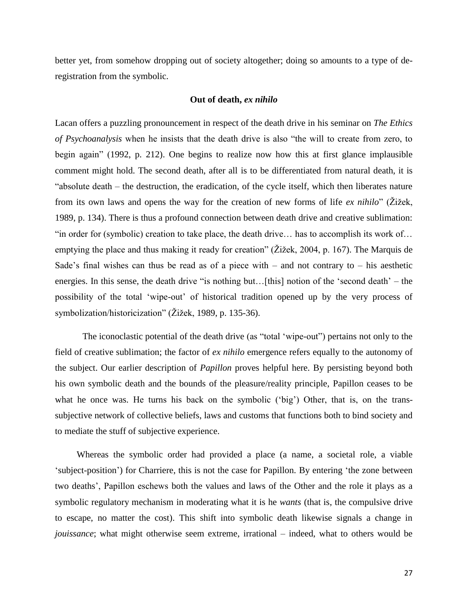better yet, from somehow dropping out of society altogether; doing so amounts to a type of deregistration from the symbolic.

# **Out of death,** *ex nihilo*

Lacan offers a puzzling pronouncement in respect of the death drive in his seminar on *The Ethics of Psychoanalysis* when he insists that the death drive is also "the will to create from zero, to begin again" (1992, p. 212). One begins to realize now how this at first glance implausible comment might hold. The second death, after all is to be differentiated from natural death, it is "absolute death – the destruction, the eradication, of the cycle itself, which then liberates nature from its own laws and opens the way for the creation of new forms of life *ex nihilo*" (Žižek, 1989, p. 134). There is thus a profound connection between death drive and creative sublimation: "in order for (symbolic) creation to take place, the death drive… has to accomplish its work of… emptying the place and thus making it ready for creation" (Žižek, 2004, p. 167). The Marquis de Sade's final wishes can thus be read as of a piece with – and not contrary to – his aesthetic energies. In this sense, the death drive "is nothing but...[this] notion of the 'second death' – the possibility of the total "wipe-out" of historical tradition opened up by the very process of symbolization/historicization" (Žižek, 1989, p. 135-36).

The iconoclastic potential of the death drive (as "total "wipe-out") pertains not only to the field of creative sublimation; the factor of *ex nihilo* emergence refers equally to the autonomy of the subject. Our earlier description of *Papillon* proves helpful here. By persisting beyond both his own symbolic death and the bounds of the pleasure/reality principle, Papillon ceases to be what he once was. He turns his back on the symbolic ('big') Other, that is, on the transsubjective network of collective beliefs, laws and customs that functions both to bind society and to mediate the stuff of subjective experience.

Whereas the symbolic order had provided a place (a name, a societal role, a viable 'subject-position') for Charriere, this is not the case for Papillon. By entering 'the zone between two deaths", Papillon eschews both the values and laws of the Other and the role it plays as a symbolic regulatory mechanism in moderating what it is he *wants* (that is, the compulsive drive to escape, no matter the cost). This shift into symbolic death likewise signals a change in *jouissance*; what might otherwise seem extreme, irrational – indeed, what to others would be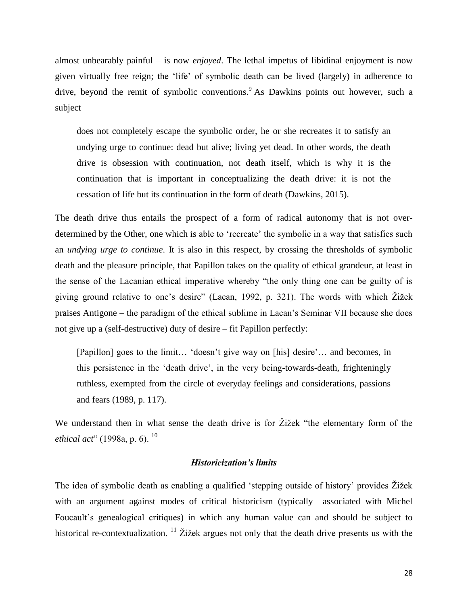almost unbearably painful – is now *enjoyed*. The lethal impetus of libidinal enjoyment is now given virtually free reign; the "life" of symbolic death can be lived (largely) in adherence to drive, beyond the remit of symbolic conventions. As Dawkins points out however, such a subject

does not completely escape the symbolic order, he or she recreates it to satisfy an undying urge to continue: dead but alive; living yet dead. In other words, the death drive is obsession with continuation, not death itself, which is why it is the continuation that is important in conceptualizing the death drive: it is not the cessation of life but its continuation in the form of death (Dawkins, 2015).

The death drive thus entails the prospect of a form of radical autonomy that is not overdetermined by the Other, one which is able to 'recreate' the symbolic in a way that satisfies such an *undying urge to continue*. It is also in this respect, by crossing the thresholds of symbolic death and the pleasure principle, that Papillon takes on the quality of ethical grandeur, at least in the sense of the Lacanian ethical imperative whereby "the only thing one can be guilty of is giving ground relative to one"s desire" (Lacan, 1992, p. 321). The words with which Žižek praises Antigone – the paradigm of the ethical sublime in Lacan"s Seminar VII because she does not give up a (self-destructive) duty of desire – fit Papillon perfectly:

[Papillon] goes to the limit... 'doesn't give way on [his] desire'... and becomes, in this persistence in the "death drive", in the very being-towards-death, frighteningly ruthless, exempted from the circle of everyday feelings and considerations, passions and fears (1989, p. 117).

We understand then in what sense the death drive is for Žižek "the elementary form of the *ethical act*" (1998a, p. 6).<sup>10</sup>

# *Historicization's limits*

The idea of symbolic death as enabling a qualified "stepping outside of history" provides Žižek with an argument against modes of critical historicism (typically associated with Michel Foucault's genealogical critiques) in which any human value can and should be subject to historical re-contextualization.  $\frac{11}{2}$  Žižek argues not only that the death drive presents us with the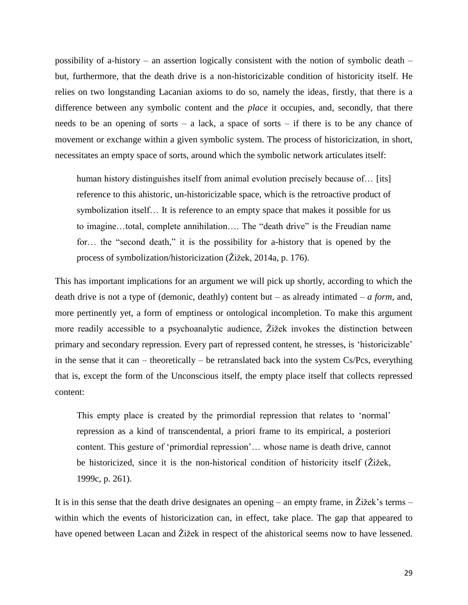possibility of a-history – an assertion logically consistent with the notion of symbolic death – but, furthermore, that the death drive is a non-historicizable condition of historicity itself. He relies on two longstanding Lacanian axioms to do so, namely the ideas, firstly, that there is a difference between any symbolic content and the *place* it occupies, and, secondly, that there needs to be an opening of sorts – a lack, a space of sorts – if there is to be any chance of movement or exchange within a given symbolic system. The process of historicization, in short, necessitates an empty space of sorts, around which the symbolic network articulates itself:

human history distinguishes itself from animal evolution precisely because of... [its] reference to this ahistoric, un-historicizable space, which is the retroactive product of symbolization itself… It is reference to an empty space that makes it possible for us to imagine…total, complete annihilation…. The "death drive" is the Freudian name for… the "second death," it is the possibility for a-history that is opened by the process of symbolization/historicization (Žižek, 2014a, p. 176).

This has important implications for an argument we will pick up shortly, according to which the death drive is not a type of (demonic, deathly) content but – as already intimated – *a form*, and, more pertinently yet, a form of emptiness or ontological incompletion. To make this argument more readily accessible to a psychoanalytic audience, Žižek invokes the distinction between primary and secondary repression. Every part of repressed content, he stresses, is "historicizable" in the sense that it can – theoretically – be retranslated back into the system Cs/Pcs, everything that is, except the form of the Unconscious itself, the empty place itself that collects repressed content:

This empty place is created by the primordial repression that relates to "normal" repression as a kind of transcendental, a priori frame to its empirical, a posteriori content. This gesture of 'primordial repression'... whose name is death drive, cannot be historicized, since it is the non-historical condition of historicity itself (Žižek, 1999c, p. 261).

It is in this sense that the death drive designates an opening – an empty frame, in  $\ddot{Z}$ ižek's terms – within which the events of historicization can, in effect, take place. The gap that appeared to have opened between Lacan and Žižek in respect of the ahistorical seems now to have lessened.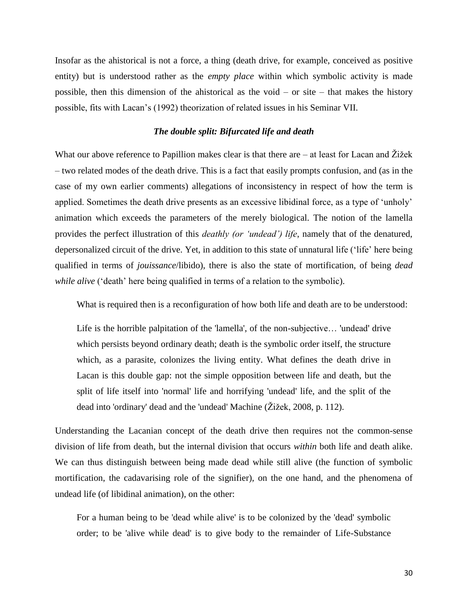Insofar as the ahistorical is not a force, a thing (death drive, for example, conceived as positive entity) but is understood rather as the *empty place* within which symbolic activity is made possible, then this dimension of the ahistorical as the void – or site – that makes the history possible, fits with Lacan"s (1992) theorization of related issues in his Seminar VII.

# *The double split: Bifurcated life and death*

What our above reference to Papillion makes clear is that there are – at least for Lacan and Žižek – two related modes of the death drive. This is a fact that easily prompts confusion, and (as in the case of my own earlier comments) allegations of inconsistency in respect of how the term is applied. Sometimes the death drive presents as an excessive libidinal force, as a type of "unholy" animation which exceeds the parameters of the merely biological. The notion of the lamella provides the perfect illustration of this *deathly (or "undead") life*, namely that of the denatured, depersonalized circuit of the drive. Yet, in addition to this state of unnatural life ("life" here being qualified in terms of *jouissance*/libido), there is also the state of mortification, of being *dead while alive* ('death' here being qualified in terms of a relation to the symbolic).

What is required then is a reconfiguration of how both life and death are to be understood:

Life is the horrible palpitation of the 'lamella', of the non-subjective… 'undead' drive which persists beyond ordinary death; death is the symbolic order itself, the structure which, as a parasite, colonizes the living entity. What defines the death drive in Lacan is this double gap: not the simple opposition between life and death, but the split of life itself into 'normal' life and horrifying 'undead' life, and the split of the dead into 'ordinary' dead and the 'undead' Machine (Žižek, 2008, p. 112).

Understanding the Lacanian concept of the death drive then requires not the common-sense division of life from death, but the internal division that occurs *within* both life and death alike. We can thus distinguish between being made dead while still alive (the function of symbolic mortification, the cadavarising role of the signifier), on the one hand, and the phenomena of undead life (of libidinal animation), on the other:

For a human being to be 'dead while alive' is to be colonized by the 'dead' symbolic order; to be 'alive while dead' is to give body to the remainder of Life-Substance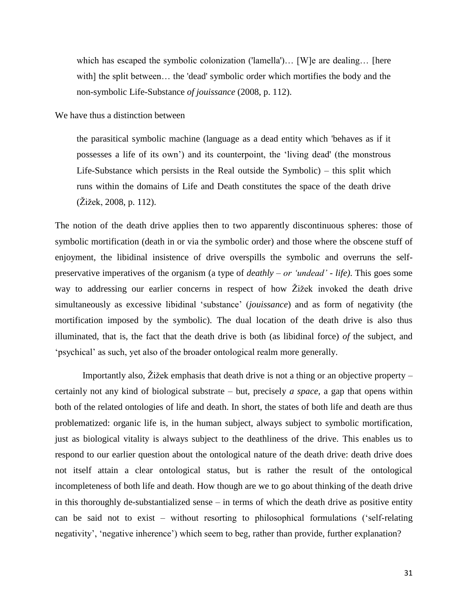which has escaped the symbolic colonization ('lamella')... [W] e are dealing... [here with] the split between... the 'dead' symbolic order which mortifies the body and the non-symbolic Life-Substance *of jouissance* (2008, p. 112).

We have thus a distinction between

the parasitical symbolic machine (language as a dead entity which 'behaves as if it possesses a life of its own") and its counterpoint, the "living dead' (the monstrous Life-Substance which persists in the Real outside the Symbolic) – this split which runs within the domains of Life and Death constitutes the space of the death drive (Žižek, 2008, p. 112).

The notion of the death drive applies then to two apparently discontinuous spheres: those of symbolic mortification (death in or via the symbolic order) and those where the obscene stuff of enjoyment, the libidinal insistence of drive overspills the symbolic and overruns the selfpreservative imperatives of the organism (a type of *deathly – or "undead" - life)*. This goes some way to addressing our earlier concerns in respect of how Žižek invoked the death drive simultaneously as excessive libidinal "substance" (*jouissance*) and as form of negativity (the mortification imposed by the symbolic). The dual location of the death drive is also thus illuminated, that is, the fact that the death drive is both (as libidinal force) *of* the subject, and 'psychical' as such, yet also of the broader ontological realm more generally.

Importantly also, Žižek emphasis that death drive is not a thing or an objective property – certainly not any kind of biological substrate – but, precisely *a space,* a gap that opens within both of the related ontologies of life and death. In short, the states of both life and death are thus problematized: organic life is, in the human subject, always subject to symbolic mortification, just as biological vitality is always subject to the deathliness of the drive. This enables us to respond to our earlier question about the ontological nature of the death drive: death drive does not itself attain a clear ontological status, but is rather the result of the ontological incompleteness of both life and death. How though are we to go about thinking of the death drive in this thoroughly de-substantialized sense – in terms of which the death drive as positive entity can be said not to exist – without resorting to philosophical formulations ("self-relating negativity', 'negative inherence') which seem to beg, rather than provide, further explanation?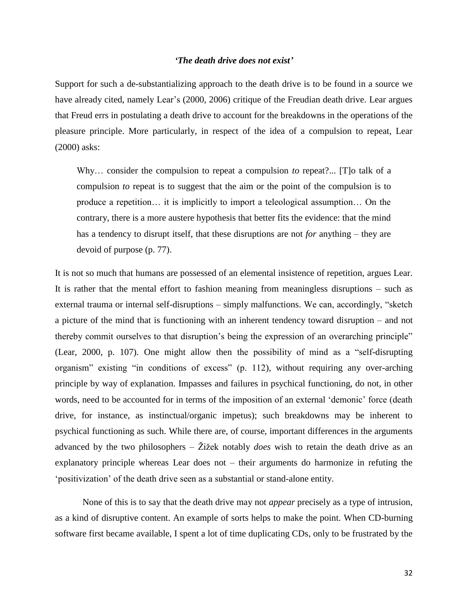# *'The death drive does not exist'*

Support for such a de-substantializing approach to the death drive is to be found in a source we have already cited, namely Lear's (2000, 2006) critique of the Freudian death drive. Lear argues that Freud errs in postulating a death drive to account for the breakdowns in the operations of the pleasure principle. More particularly, in respect of the idea of a compulsion to repeat, Lear (2000) asks:

Why… consider the compulsion to repeat a compulsion *to* repeat?... [T]o talk of a compulsion *to* repeat is to suggest that the aim or the point of the compulsion is to produce a repetition… it is implicitly to import a teleological assumption… On the contrary, there is a more austere hypothesis that better fits the evidence: that the mind has a tendency to disrupt itself, that these disruptions are not *for* anything – they are devoid of purpose (p. 77).

It is not so much that humans are possessed of an elemental insistence of repetition, argues Lear. It is rather that the mental effort to fashion meaning from meaningless disruptions – such as external trauma or internal self-disruptions – simply malfunctions. We can, accordingly, "sketch a picture of the mind that is functioning with an inherent tendency toward disruption – and not thereby commit ourselves to that disruption"s being the expression of an overarching principle" (Lear, 2000, p. 107). One might allow then the possibility of mind as a "self-disrupting organism" existing "in conditions of excess" (p. 112), without requiring any over-arching principle by way of explanation. Impasses and failures in psychical functioning, do not, in other words, need to be accounted for in terms of the imposition of an external "demonic" force (death drive, for instance, as instinctual/organic impetus); such breakdowns may be inherent to psychical functioning as such. While there are, of course, important differences in the arguments advanced by the two philosophers – Žižek notably *does* wish to retain the death drive as an explanatory principle whereas Lear does not – their arguments do harmonize in refuting the 'positivization' of the death drive seen as a substantial or stand-alone entity.

None of this is to say that the death drive may not *appear* precisely as a type of intrusion, as a kind of disruptive content. An example of sorts helps to make the point. When CD-burning software first became available, I spent a lot of time duplicating CDs, only to be frustrated by the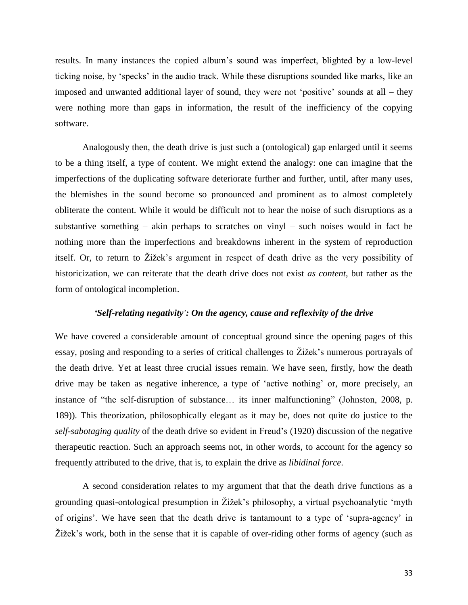results. In many instances the copied album"s sound was imperfect, blighted by a low-level ticking noise, by "specks" in the audio track. While these disruptions sounded like marks, like an imposed and unwanted additional layer of sound, they were not "positive" sounds at all – they were nothing more than gaps in information, the result of the inefficiency of the copying software.

Analogously then, the death drive is just such a (ontological) gap enlarged until it seems to be a thing itself, a type of content. We might extend the analogy: one can imagine that the imperfections of the duplicating software deteriorate further and further, until, after many uses, the blemishes in the sound become so pronounced and prominent as to almost completely obliterate the content. While it would be difficult not to hear the noise of such disruptions as a substantive something  $-$  akin perhaps to scratches on vinyl  $-$  such noises would in fact be nothing more than the imperfections and breakdowns inherent in the system of reproduction itself. Or, to return to Žižek"s argument in respect of death drive as the very possibility of historicization, we can reiterate that the death drive does not exist *as content*, but rather as the form of ontological incompletion.

# *'Self-relating negativity': On the agency, cause and reflexivity of the drive*

We have covered a considerable amount of conceptual ground since the opening pages of this essay, posing and responding to a series of critical challenges to Žižek"s numerous portrayals of the death drive. Yet at least three crucial issues remain. We have seen, firstly, how the death drive may be taken as negative inherence, a type of 'active nothing' or, more precisely, an instance of "the self-disruption of substance… its inner malfunctioning" (Johnston, 2008, p. 189)). This theorization, philosophically elegant as it may be, does not quite do justice to the *self-sabotaging quality* of the death drive so evident in Freud"s (1920) discussion of the negative therapeutic reaction. Such an approach seems not, in other words, to account for the agency so frequently attributed to the drive, that is, to explain the drive as *libidinal force*.

A second consideration relates to my argument that that the death drive functions as a grounding quasi-ontological presumption in Žižek"s philosophy, a virtual psychoanalytic "myth of origins". We have seen that the death drive is tantamount to a type of "supra-agency" in Žižek"s work, both in the sense that it is capable of over-riding other forms of agency (such as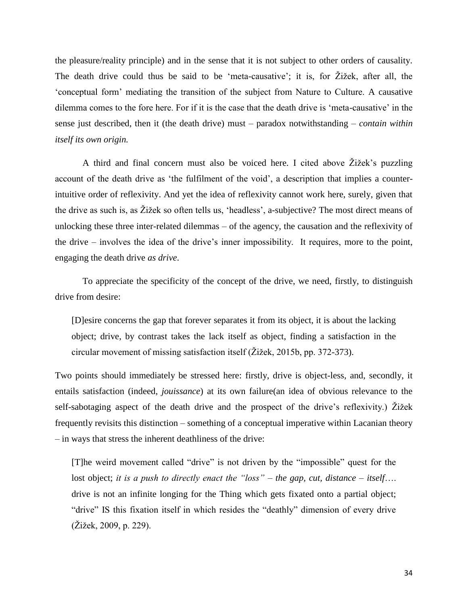the pleasure/reality principle) and in the sense that it is not subject to other orders of causality. The death drive could thus be said to be "meta-causative"; it is, for Žižek, after all, the "conceptual form" mediating the transition of the subject from Nature to Culture. A causative dilemma comes to the fore here. For if it is the case that the death drive is "meta-causative" in the sense just described, then it (the death drive) must – paradox notwithstanding – *contain within itself its own origin.*

A third and final concern must also be voiced here. I cited above Žižek"s puzzling account of the death drive as "the fulfilment of the void", a description that implies a counterintuitive order of reflexivity. And yet the idea of reflexivity cannot work here, surely, given that the drive as such is, as Žižek so often tells us, "headless", a-subjective? The most direct means of unlocking these three inter-related dilemmas – of the agency, the causation and the reflexivity of the drive – involves the idea of the drive"s inner impossibility. It requires, more to the point, engaging the death drive *as drive*.

To appreciate the specificity of the concept of the drive, we need, firstly, to distinguish drive from desire:

[D]esire concerns the gap that forever separates it from its object, it is about the lacking object; drive, by contrast takes the lack itself as object, finding a satisfaction in the circular movement of missing satisfaction itself (Žižek, 2015b, pp. 372-373).

Two points should immediately be stressed here: firstly, drive is object-less, and, secondly, it entails satisfaction (indeed, *jouissance*) at its own failure(an idea of obvious relevance to the self-sabotaging aspect of the death drive and the prospect of the drive's reflexivity.) Žižek frequently revisits this distinction – something of a conceptual imperative within Lacanian theory – in ways that stress the inherent deathliness of the drive:

[T]he weird movement called "drive" is not driven by the "impossible" quest for the lost object; *it is a push to directly enact the "loss" – the gap, cut, distance – itself*…. drive is not an infinite longing for the Thing which gets fixated onto a partial object; "drive" IS this fixation itself in which resides the "deathly" dimension of every drive (Žižek, 2009, p. 229).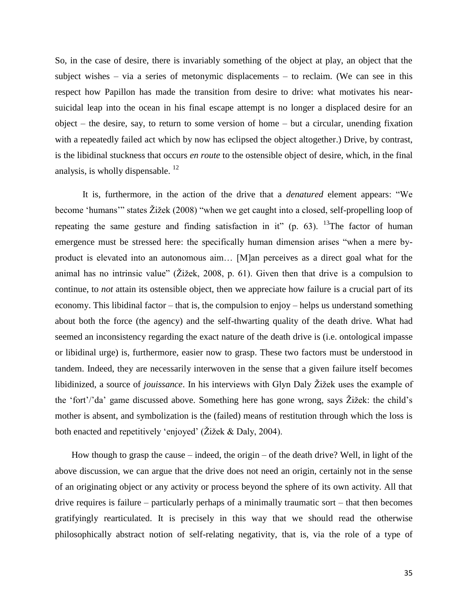So, in the case of desire, there is invariably something of the object at play, an object that the subject wishes – via a series of metonymic displacements – to reclaim. (We can see in this respect how Papillon has made the transition from desire to drive: what motivates his nearsuicidal leap into the ocean in his final escape attempt is no longer a displaced desire for an object – the desire, say, to return to some version of home – but a circular, unending fixation with a repeatedly failed act which by now has eclipsed the object altogether.) Drive, by contrast, is the libidinal stuckness that occurs *en route* to the ostensible object of desire, which, in the final analysis, is wholly dispensable. <sup>12</sup>

It is, furthermore, in the action of the drive that a *denatured* element appears: "We become "humans"" states Žižek (2008) "when we get caught into a closed, self-propelling loop of repeating the same gesture and finding satisfaction in it" (p. 63). <sup>13</sup>The factor of human emergence must be stressed here: the specifically human dimension arises "when a mere byproduct is elevated into an autonomous aim… [M]an perceives as a direct goal what for the animal has no intrinsic value" (Žižek, 2008, p. 61). Given then that drive is a compulsion to continue, to *not* attain its ostensible object, then we appreciate how failure is a crucial part of its economy. This libidinal factor – that is, the compulsion to enjoy – helps us understand something about both the force (the agency) and the self-thwarting quality of the death drive. What had seemed an inconsistency regarding the exact nature of the death drive is (i.e. ontological impasse or libidinal urge) is, furthermore, easier now to grasp. These two factors must be understood in tandem. Indeed, they are necessarily interwoven in the sense that a given failure itself becomes libidinized, a source of *jouissance*. In his interviews with Glyn Daly Žižek uses the example of the "fort"/"da" game discussed above. Something here has gone wrong, says Žižek: the child"s mother is absent, and symbolization is the (failed) means of restitution through which the loss is both enacted and repetitively 'enjoyed' (Žižek & Daly, 2004).

How though to grasp the cause – indeed, the origin – of the death drive? Well, in light of the above discussion, we can argue that the drive does not need an origin, certainly not in the sense of an originating object or any activity or process beyond the sphere of its own activity. All that drive requires is failure – particularly perhaps of a minimally traumatic sort – that then becomes gratifyingly rearticulated. It is precisely in this way that we should read the otherwise philosophically abstract notion of self-relating negativity, that is, via the role of a type of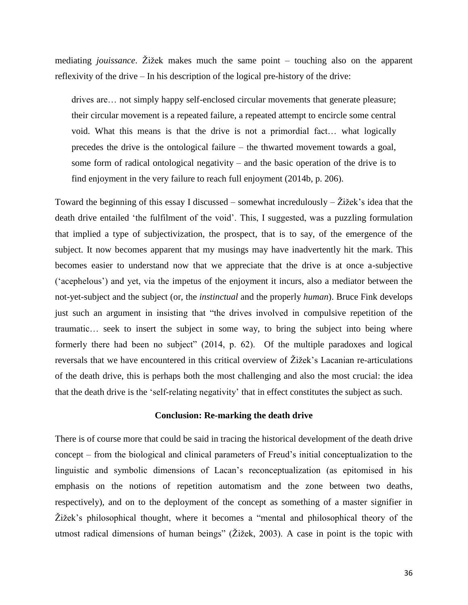mediating *jouissance*. Žižek makes much the same point – touching also on the apparent reflexivity of the drive – In his description of the logical pre-history of the drive:

drives are… not simply happy self-enclosed circular movements that generate pleasure; their circular movement is a repeated failure, a repeated attempt to encircle some central void. What this means is that the drive is not a primordial fact… what logically precedes the drive is the ontological failure – the thwarted movement towards a goal, some form of radical ontological negativity – and the basic operation of the drive is to find enjoyment in the very failure to reach full enjoyment (2014b, p. 206).

Toward the beginning of this essay I discussed – somewhat incredulously –  $\check{Z}$ ižek's idea that the death drive entailed "the fulfilment of the void". This, I suggested, was a puzzling formulation that implied a type of subjectivization, the prospect, that is to say, of the emergence of the subject. It now becomes apparent that my musings may have inadvertently hit the mark. This becomes easier to understand now that we appreciate that the drive is at once a-subjective ("acephelous") and yet, via the impetus of the enjoyment it incurs, also a mediator between the not-yet-subject and the subject (or, the *instinctual* and the properly *human*). Bruce Fink develops just such an argument in insisting that "the drives involved in compulsive repetition of the traumatic… seek to insert the subject in some way, to bring the subject into being where formerly there had been no subject" (2014, p. 62). Of the multiple paradoxes and logical reversals that we have encountered in this critical overview of Žižek"s Lacanian re-articulations of the death drive, this is perhaps both the most challenging and also the most crucial: the idea that the death drive is the "self-relating negativity" that in effect constitutes the subject as such.

# **Conclusion: Re-marking the death drive**

There is of course more that could be said in tracing the historical development of the death drive concept – from the biological and clinical parameters of Freud"s initial conceptualization to the linguistic and symbolic dimensions of Lacan"s reconceptualization (as epitomised in his emphasis on the notions of repetition automatism and the zone between two deaths, respectively), and on to the deployment of the concept as something of a master signifier in Žižek"s philosophical thought, where it becomes a "mental and philosophical theory of the utmost radical dimensions of human beings" (Žižek, 2003). A case in point is the topic with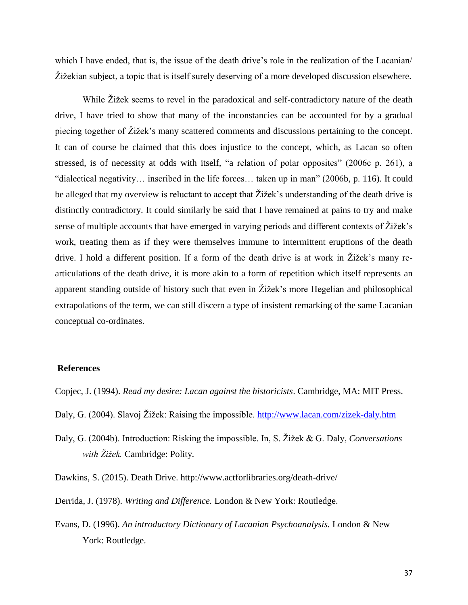which I have ended, that is, the issue of the death drive's role in the realization of the Lacanian Žižekian subject, a topic that is itself surely deserving of a more developed discussion elsewhere.

While Žižek seems to revel in the paradoxical and self-contradictory nature of the death drive, I have tried to show that many of the inconstancies can be accounted for by a gradual piecing together of Žižek"s many scattered comments and discussions pertaining to the concept. It can of course be claimed that this does injustice to the concept, which, as Lacan so often stressed, is of necessity at odds with itself, "a relation of polar opposites" (2006c p. 261), a "dialectical negativity… inscribed in the life forces… taken up in man" (2006b, p. 116). It could be alleged that my overview is reluctant to accept that  $\tilde{Z}$ ižek's understanding of the death drive is distinctly contradictory. It could similarly be said that I have remained at pains to try and make sense of multiple accounts that have emerged in varying periods and different contexts of Žižek"s work, treating them as if they were themselves immune to intermittent eruptions of the death drive. I hold a different position. If a form of the death drive is at work in Žižek"s many rearticulations of the death drive, it is more akin to a form of repetition which itself represents an apparent standing outside of history such that even in Žižek"s more Hegelian and philosophical extrapolations of the term, we can still discern a type of insistent remarking of the same Lacanian conceptual co-ordinates.

# **References**

Copjec, J. (1994). *Read my desire: Lacan against the historicists*. Cambridge, MA: MIT Press.

- Daly, G. (2004). Slavoj Žižek: Raising the impossible.<http://www.lacan.com/zizek-daly.htm>
- Daly, G. (2004b). Introduction: Risking the impossible. In, S. Žižek & G. Daly, *Conversations with Žižek.* Cambridge: Polity.
- Dawkins, S. (2015). Death Drive. http://www.actforlibraries.org/death-drive/
- Derrida, J. (1978). *Writing and Difference.* London & New York: Routledge.
- Evans, D. (1996). *An introductory Dictionary of Lacanian Psychoanalysis.* London & New York: Routledge.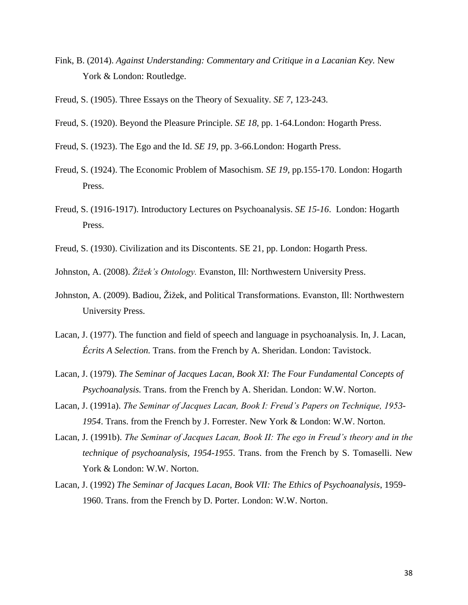- Fink, B. (2014). *Against Understanding: Commentary and Critique in a Lacanian Key.* New York & London: Routledge.
- Freud, S. (1905). Three Essays on the Theory of Sexuality. *SE 7*, 123-243.
- Freud, S. (1920). Beyond the Pleasure Principle. *SE 18*, pp. 1-64.London: Hogarth Press.
- Freud, S. (1923). The Ego and the Id. *SE 19*, pp. 3-66.London: Hogarth Press.
- Freud, S. (1924). The Economic Problem of Masochism. *SE 19,* pp.155-170. London: Hogarth Press.
- Freud, S. (1916-1917). Introductory Lectures on Psychoanalysis. *SE 15-16*. London: Hogarth Press.
- Freud, S. (1930). Civilization and its Discontents. SE 21, pp. London: Hogarth Press.
- Johnston, A. (2008). *Žižek"s Ontology.* Evanston, Ill: Northwestern University Press.
- Johnston, A. (2009). Badiou, Žižek, and Political Transformations. Evanston, Ill: Northwestern University Press.
- Lacan, J. (1977). The function and field of speech and language in psychoanalysis. In, J. Lacan, *Écrits A Selection.* Trans. from the French by A. Sheridan. London: Tavistock.
- Lacan, J. (1979). *The Seminar of Jacques Lacan, Book XI: The Four Fundamental Concepts of Psychoanalysis.* Trans. from the French by A. Sheridan. London: W.W. Norton.
- Lacan, J. (1991a). *The Seminar of Jacques Lacan, Book I: Freud"s Papers on Technique, 1953- 1954*. Trans. from the French by J. Forrester. New York & London: W.W. Norton.
- Lacan, J. (1991b). *The Seminar of Jacques Lacan, Book II: The ego in Freud"s theory and in the technique of psychoanalysis, 1954-1955*. Trans. from the French by S. Tomaselli. New York & London: W.W. Norton.
- Lacan, J. (1992) *The Seminar of Jacques Lacan, Book VII: The Ethics of Psychoanalysis*, 1959- 1960. Trans. from the French by D. Porter. London: W.W. Norton.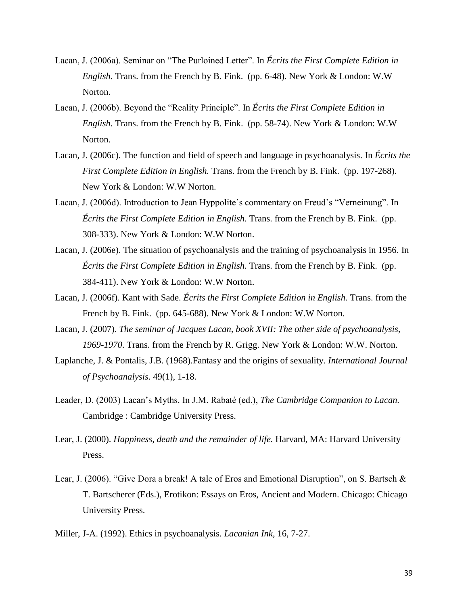- Lacan, J. (2006a). Seminar on "The Purloined Letter". In *Écrits the First Complete Edition in English.* Trans. from the French by B. Fink. (pp. 6-48). New York & London: W.W Norton.
- Lacan, J. (2006b). Beyond the "Reality Principle". In *Écrits the First Complete Edition in English.* Trans. from the French by B. Fink. (pp. 58-74). New York & London: W.W Norton.
- Lacan, J. (2006c). The function and field of speech and language in psychoanalysis. In *Écrits the First Complete Edition in English.* Trans. from the French by B. Fink. (pp. 197-268). New York & London: W.W Norton.
- Lacan, J. (2006d). Introduction to Jean Hyppolite's commentary on Freud's "Verneinung". In *Écrits the First Complete Edition in English.* Trans. from the French by B. Fink. (pp. 308-333). New York & London: W.W Norton.
- Lacan, J. (2006e). The situation of psychoanalysis and the training of psychoanalysis in 1956. In *Écrits the First Complete Edition in English.* Trans. from the French by B. Fink. (pp. 384-411). New York & London: W.W Norton.
- Lacan, J. (2006f). Kant with Sade. *Écrits the First Complete Edition in English.* Trans. from the French by B. Fink. (pp. 645-688). New York & London: W.W Norton.
- Lacan, J. (2007). *The seminar of Jacques Lacan, book XVII: The other side of psychoanalysis, 1969-1970*. Trans. from the French by R. Grigg. New York & London: W.W. Norton.
- Laplanche, J. & Pontalis, J.B. (1968).Fantasy and the origins of sexuality. *International Journal of Psychoanalysis*. 49(1), 1-18.
- Leader, D. (2003) Lacan"s Myths. In J.M. Rabaté (ed.), *The Cambridge Companion to Lacan.* Cambridge : Cambridge University Press.
- Lear, J. (2000). *Happiness, death and the remainder of life.* Harvard, MA: Harvard University Press.
- Lear, J. (2006). "Give Dora a break! A tale of Eros and Emotional Disruption", on S. Bartsch & T. Bartscherer (Eds.), Erotikon: Essays on Eros, Ancient and Modern. Chicago: Chicago University Press.
- Miller, J-A. (1992). Ethics in psychoanalysis. *Lacanian Ink*, 16, 7-27.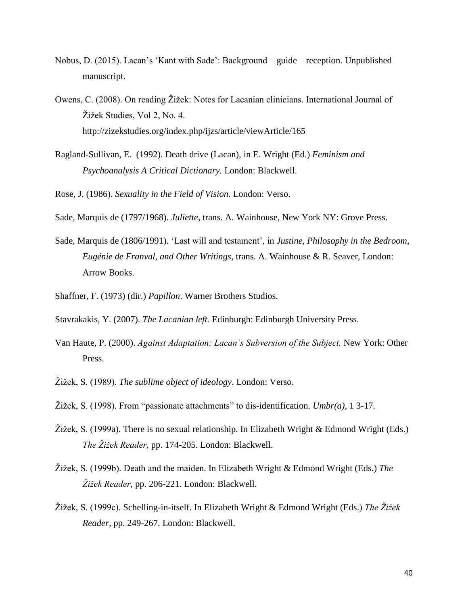- Nobus, D. (2015). Lacan"s "Kant with Sade": Background guide reception. Unpublished manuscript.
- Owens, C. (2008). On reading Žižek: Notes for Lacanian clinicians. International Journal of Žižek Studies, Vol 2, No. 4. http://zizekstudies.org/index.php/ijzs/article/viewArticle/165
- Ragland-Sullivan, E. (1992). Death drive (Lacan), in E. Wright (Ed.) *Feminism and Psychoanalysis A Critical Dictionary.* London: Blackwell.
- Rose, J. (1986). *Sexuality in the Field of Vision.* London: Verso.

Sade, Marquis de (1797/1968). *Juliette*, trans. A. Wainhouse, New York NY: Grove Press.

- Sade, Marquis de (1806/1991). "Last will and testament", in *Justine, Philosophy in the Bedroom, Eugénie de Franval, and Other Writings*, trans. A. Wainhouse & R. Seaver, London: Arrow Books.
- Shaffner, F. (1973) (dir.) *Papillon*. Warner Brothers Studios.
- Stavrakakis, Y. (2007). *The Lacanian left.* Edinburgh: Edinburgh University Press.
- Van Haute, P. (2000). *Against Adaptation: Lacan"s Subversion of the Subject.* New York: Other Press.
- Žižek, S. (1989). *The sublime object of ideology*. London: Verso.
- Žižek, S. (1998). From "passionate attachments" to dis-identification. *Umbr(a),* 1 3-17.
- Žižek, S. (1999a). There is no sexual relationship. In Elizabeth Wright & Edmond Wright (Eds.) *The Žižek Reader*, pp. 174-205. London: Blackwell.
- Žižek, S. (1999b). Death and the maiden. In Elizabeth Wright & Edmond Wright (Eds.) *The Žižek Reader*, pp. 206-221. London: Blackwell.
- Žižek, S. (1999c). Schelling-in-itself. In Elizabeth Wright & Edmond Wright (Eds.) *The Žižek Reader*, pp. 249-267. London: Blackwell.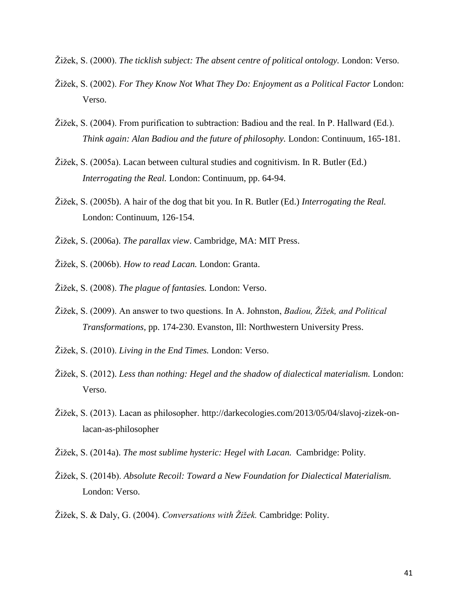- Žižek, S. (2000). *The ticklish subject: The absent centre of political ontology.* London: Verso.
- Žižek, S. (2002). *For They Know Not What They Do: Enjoyment as a Political Factor* London: Verso.
- Žižek, S. (2004). From purification to subtraction: Badiou and the real. In P. Hallward (Ed.). *Think again: Alan Badiou and the future of philosophy.* London: Continuum, 165-181.
- Žižek, S. (2005a). Lacan between cultural studies and cognitivism. In R. Butler (Ed.) *Interrogating the Real.* London: Continuum, pp. 64-94.
- Žižek, S. (2005b). A hair of the dog that bit you. In R. Butler (Ed.) *Interrogating the Real.* London: Continuum, 126-154.
- Žižek, S. (2006a). *The parallax view*. Cambridge, MA: MIT Press.
- Žižek, S. (2006b). *How to read Lacan.* London: Granta.
- Žižek, S. (2008). *The plague of fantasies.* London: Verso.
- Žižek, S. (2009). An answer to two questions. In A. Johnston, *Badiou, Žižek, and Political Transformations*, pp. 174-230. Evanston, Ill: Northwestern University Press.
- Žižek, S. (2010). *Living in the End Times.* London: Verso.
- Žižek, S. (2012). *Less than nothing: Hegel and the shadow of dialectical materialism.* London: Verso.
- Žižek, S. (2013). Lacan as philosopher. http://darkecologies.com/2013/05/04/slavoj-zizek-onlacan-as-philosopher
- Žižek, S. (2014a). *The most sublime hysteric: Hegel with Lacan.* Cambridge: Polity.
- Žižek, S. (2014b). *Absolute Recoil: Toward a New Foundation for Dialectical Materialism.*  London: Verso.
- Žižek, S. & Daly, G. (2004). *Conversations with Žižek.* Cambridge: Polity.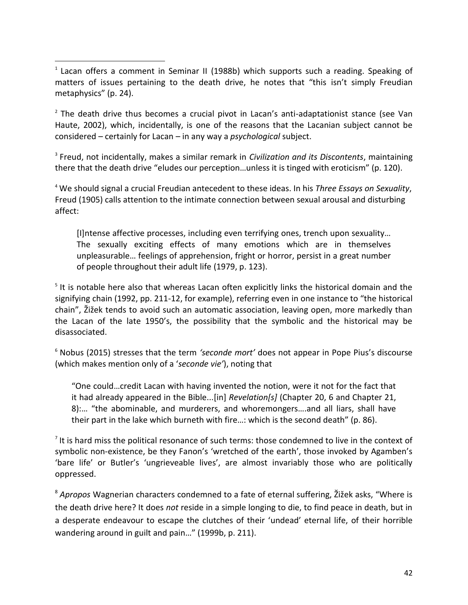<sup>1</sup> Lacan offers a comment in Seminar II (1988b) which supports such a reading. Speaking of matters of issues pertaining to the death drive, he notes that "this isn't simply Freudian metaphysics" (p. 24).

 $\overline{\phantom{a}}$ 

<sup>2</sup> The death drive thus becomes a crucial pivot in Lacan's anti-adaptationist stance (see Van Haute, 2002), which, incidentally, is one of the reasons that the Lacanian subject cannot be considered – certainly for Lacan – in any way a *psychological* subject.

3 Freud, not incidentally, makes a similar remark in *Civilization and its Discontents*, maintaining there that the death drive "eludes our perception…unless it is tinged with eroticism" (p. 120).

<sup>4</sup> We should signal a crucial Freudian antecedent to these ideas. In his *Three Essays on Sexuality*, Freud (1905) calls attention to the intimate connection between sexual arousal and disturbing affect:

[I] Intense affective processes, including even terrifying ones, trench upon sexuality... The sexually exciting effects of many emotions which are in themselves unpleasurable… feelings of apprehension, fright or horror, persist in a great number of people throughout their adult life (1979, p. 123).

<sup>5</sup> It is notable here also that whereas Lacan often explicitly links the historical domain and the signifying chain (1992, pp. 211-12, for example), referring even in one instance to "the historical chain", Žižek tends to avoid such an automatic association, leaving open, more markedly than the Lacan of the late 1950's, the possibility that the symbolic and the historical may be disassociated.

<sup>6</sup> Nobus (2015) stresses that the term *'seconde mort'* does not appear in Pope Pius's discourse (which makes mention only of a '*seconde vie'*), noting that

"One could…credit Lacan with having invented the notion, were it not for the fact that it had already appeared in the Bible...[in] *Revelation[s]* (Chapter 20, 6 and Chapter 21, 8):… "the abominable, and murderers, and whoremongers….and all liars, shall have their part in the lake which burneth with fire…: which is the second death" (p. 86).

 $^7$  It is hard miss the political resonance of such terms: those condemned to live in the context of symbolic non-existence, be they Fanon's 'wretched of the earth', those invoked by Agamben's 'bare life' or Butler's 'ungrieveable lives', are almost invariably those who are politically oppressed.

<sup>8</sup> *Apropos* Wagnerian characters condemned to a fate of eternal suffering, Žižek asks, "Where is the death drive here? It does *not* reside in a simple longing to die, to find peace in death, but in a desperate endeavour to escape the clutches of their 'undead' eternal life, of their horrible wandering around in guilt and pain…" (1999b, p. 211).